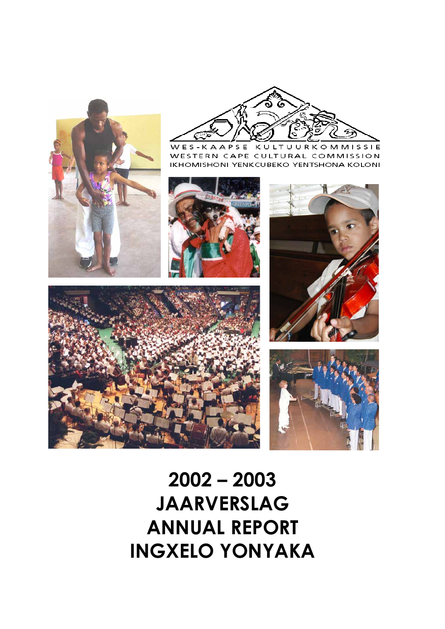



WES-KAAPSE KULTUURKOMMISSIE WESTERN CAPE CULTURAL COMMISSION IKHOMISHONI YENKCUBEKO YENTSHONA KOLONI









# **2002 – 2003 JAARVERSLAG ANNUAL REPORT INGXELO YONYAKA**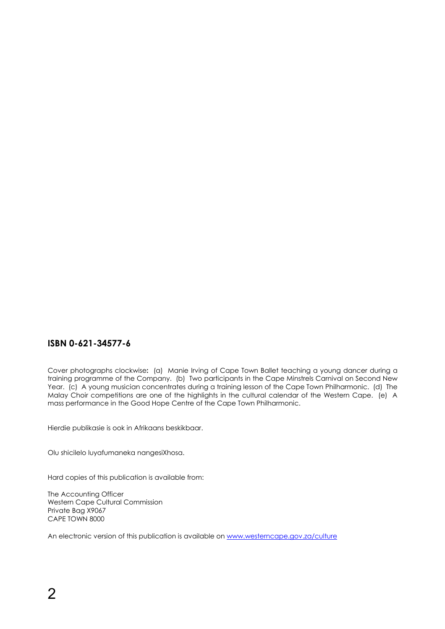## **ISBN 0-621-34577-6**

Cover photographs clockwise**:** (a) Manie Irving of Cape Town Ballet teaching a young dancer during a training programme of the Company. (b) Two participants in the Cape Minstrels Carnival on Second New Year. (c) A young musician concentrates during a training lesson of the Cape Town Philharmonic. (d) The Malay Choir competitions are one of the highlights in the cultural calendar of the Western Cape. (e) A mass performance in the Good Hope Centre of the Cape Town Philharmonic.

Hierdie publikasie is ook in Afrikaans beskikbaar.

Olu shicilelo luyafumaneka nangesiXhosa.

Hard copies of this publication is available from:

The Accounting Officer Western Cape Cultural Commission Private Bag X9067 CAPE TOWN 8000

An electronic version of this publication is available on [www.westerncape.gov.za/culture](http://www.westerncape.gov.za/culture)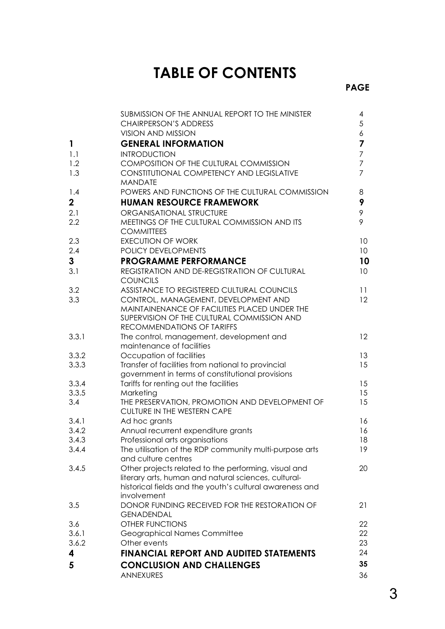## **TABLE OF CONTENTS**

|                | SUBMISSION OF THE ANNUAL REPORT TO THE MINISTER                    | 4                |
|----------------|--------------------------------------------------------------------|------------------|
|                | <b>CHAIRPERSON'S ADDRESS</b>                                       | 5                |
|                | <b>VISION AND MISSION</b>                                          | $\boldsymbol{6}$ |
| $\mathbf{1}$   | <b>GENERAL INFORMATION</b>                                         | 7                |
| 1.1            | <b>INTRODUCTION</b>                                                | $\overline{7}$   |
| 1.2            | <b>COMPOSITION OF THE CULTURAL COMMISSION</b>                      | $\overline{7}$   |
| 1.3            | <b>CONSTITUTIONAL COMPETENCY AND LEGISLATIVE</b><br><b>MANDATE</b> | $\overline{7}$   |
| 1.4            | POWERS AND FUNCTIONS OF THE CULTURAL COMMISSION                    | 8                |
| $\mathbf{2}$   | <b>HUMAN RESOURCE FRAMEWORK</b>                                    | 9                |
| 2.1            | ORGANISATIONAL STRUCTURE                                           | $\mathcal{P}$    |
| 2.2            | MEETINGS OF THE CULTURAL COMMISSION AND ITS<br><b>COMMITTEES</b>   | 9                |
| 2.3            | <b>EXECUTION OF WORK</b>                                           | 10 <sup>°</sup>  |
| 2.4            | POLICY DEVELOPMENTS                                                | 10 <sup>°</sup>  |
| 3              | <b>PROGRAMME PERFORMANCE</b>                                       | 10               |
| 3.1            | REGISTRATION AND DE-REGISTRATION OF CULTURAL<br><b>COUNCILS</b>    | 10 <sup>°</sup>  |
| 3.2            | ASSISTANCE TO REGISTERED CULTURAL COUNCILS                         | 11               |
| 3.3            | CONTROL, MANAGEMENT, DEVELOPMENT AND                               | 12               |
|                | MAINTAINENANCE OF FACILITIES PLACED UNDER THE                      |                  |
|                | SUPERVISION OF THE CULTURAL COMMISSION AND                         |                  |
|                | RECOMMENDATIONS OF TARIFFS                                         |                  |
| 3.3.1          | The control, management, development and                           | 12               |
|                | maintenance of facilities                                          |                  |
| 3.3.2          | Occupation of facilities                                           | 13               |
| 3.3.3          | Transfer of facilities from national to provincial                 | 15               |
|                | government in terms of constitutional provisions                   | 15               |
| 3.3.4<br>3.3.5 | Tariffs for renting out the facilities<br>Marketing                | 15               |
| 3.4            | THE PRESERVATION, PROMOTION AND DEVELOPMENT OF                     | 15               |
|                | CULTURE IN THE WESTERN CAPE                                        |                  |
| 3.4.1          | Ad hoc grants                                                      | 16               |
| 3.4.2          | Annual recurrent expenditure grants                                | 16               |
| 3.4.3          | Professional arts organisations                                    | 18               |
| 3.4.4          | The utilisation of the RDP community multi-purpose arts            | 19               |
|                | and culture centres                                                |                  |
| 3.4.5          | Other projects related to the performing, visual and               | 20               |
|                | literary arts, human and natural sciences, cultural-               |                  |
|                | historical fields and the youth's cultural awareness and           |                  |
|                | involvement                                                        |                  |
| 3.5            | DONOR FUNDING RECEIVED FOR THE RESTORATION OF                      | 21               |
|                | <b>GENADENDAL</b>                                                  |                  |
| 3.6            | <b>OTHER FUNCTIONS</b>                                             | 22               |
| 3.6.1          | Geographical Names Committee                                       | 22               |
| 3.6.2          | Other events                                                       | 23               |
| 4              | <b>FINANCIAL REPORT AND AUDITED STATEMENTS</b>                     | 24               |
| 5              | <b>CONCLUSION AND CHALLENGES</b>                                   | 35               |
|                | <b>ANNEXURES</b>                                                   | 36               |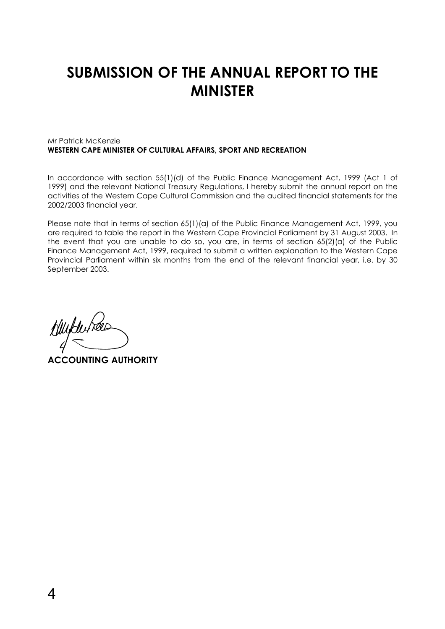## **SUBMISSION OF THE ANNUAL REPORT TO THE MINISTER**

#### Mr Patrick McKenzie **WESTERN CAPE MINISTER OF CULTURAL AFFAIRS, SPORT AND RECREATION**

In accordance with section 55(1)(d) of the Public Finance Management Act, 1999 (Act 1 of 1999) and the relevant National Treasury Regulations, I hereby submit the annual report on the activities of the Western Cape Cultural Commission and the audited financial statements for the 2002/2003 financial year.

Please note that in terms of section 65(1)(a) of the Public Finance Management Act, 1999, you are required to table the report in the Western Cape Provincial Parliament by 31 August 2003. In the event that you are unable to do so, you are, in terms of section 65(2)(a) of the Public Finance Management Act, 1999, required to submit a written explanation to the Western Cape Provincial Parliament within six months from the end of the relevant financial year, i.e. by 30 September 2003.

Huyturnee

**ACCOUNTING AUTHORITY**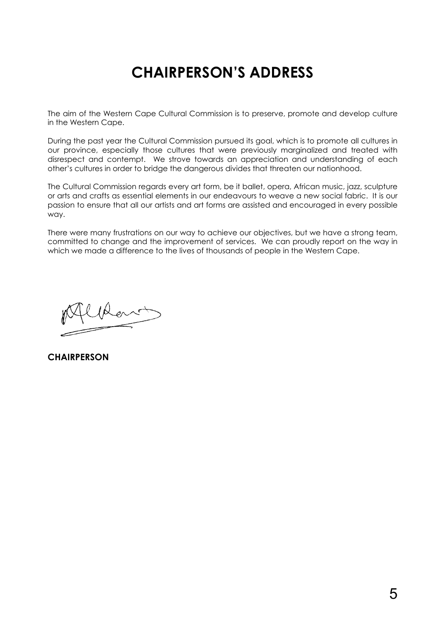## **CHAIRPERSON'S ADDRESS**

The aim of the Western Cape Cultural Commission is to preserve, promote and develop culture in the Western Cape.

During the past year the Cultural Commission pursued its goal, which is to promote all cultures in our province, especially those cultures that were previously marginalized and treated with disrespect and contempt. We strove towards an appreciation and understanding of each other's cultures in order to bridge the dangerous divides that threaten our nationhood.

The Cultural Commission regards every art form, be it ballet, opera, African music, jazz, sculpture or arts and crafts as essential elements in our endeavours to weave a new social fabric. It is our passion to ensure that all our artists and art forms are assisted and encouraged in every possible way.

There were many frustrations on our way to achieve our objectives, but we have a strong team, committed to change and the improvement of services. We can proudly report on the way in which we made a difference to the lives of thousands of people in the Western Cape.

 $\mu_{\scriptscriptstyle\mathscr{C}}$ 

**CHAIRPERSON**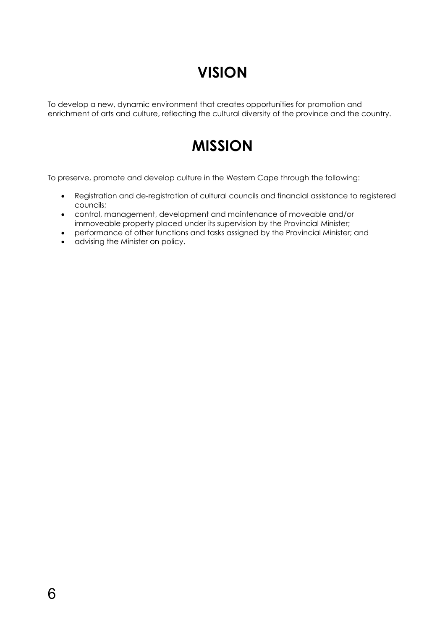## **VISION**

To develop a new, dynamic environment that creates opportunities for promotion and enrichment of arts and culture, reflecting the cultural diversity of the province and the country.

## **MISSION**

To preserve, promote and develop culture in the Western Cape through the following:

- Registration and de-registration of cultural councils and financial assistance to registered councils;
- control, management, development and maintenance of moveable and/or immoveable property placed under its supervision by the Provincial Minister;
- performance of other functions and tasks assigned by the Provincial Minister; and
- advising the Minister on policy.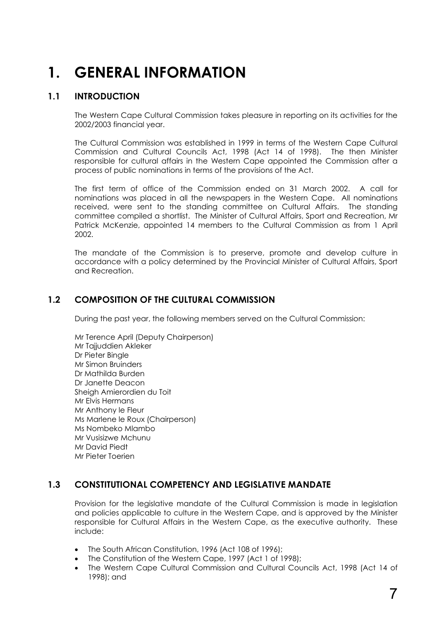## **1. GENERAL INFORMATION**

## **1.1 INTRODUCTION**

The Western Cape Cultural Commission takes pleasure in reporting on its activities for the 2002/2003 financial year.

The Cultural Commission was established in 1999 in terms of the Western Cape Cultural Commission and Cultural Councils Act, 1998 (Act 14 of 1998). The then Minister responsible for cultural affairs in the Western Cape appointed the Commission after a process of public nominations in terms of the provisions of the Act.

The first term of office of the Commission ended on 31 March 2002. A call for nominations was placed in all the newspapers in the Western Cape. All nominations received, were sent to the standing committee on Cultural Affairs. The standing committee compiled a shortlist. The Minister of Cultural Affairs, Sport and Recreation, Mr Patrick McKenzie, appointed 14 members to the Cultural Commission as from 1 April 2002.

The mandate of the Commission is to preserve, promote and develop culture in accordance with a policy determined by the Provincial Minister of Cultural Affairs, Sport and Recreation.

## **1.2 COMPOSITION OF THE CULTURAL COMMISSION**

During the past year, the following members served on the Cultural Commission:

 Mr Terence April (Deputy Chairperson) Mr Tajjuddien Akleker Dr Pieter Bingle Mr Simon Bruinders Dr Mathilda Burden Dr Janette Deacon Sheigh Amierordien du Toit Mr Elvis Hermans Mr Anthony le Fleur Ms Marlene le Roux (Chairperson) Ms Nombeko Mlambo Mr Vusisizwe Mchunu Mr David Piedt Mr Pieter Toerien

## **1.3 CONSTITUTIONAL COMPETENCY AND LEGISLATIVE MANDATE**

Provision for the legislative mandate of the Cultural Commission is made in legislation and policies applicable to culture in the Western Cape, and is approved by the Minister responsible for Cultural Affairs in the Western Cape, as the executive authority. These include:

- The South African Constitution, 1996 (Act 108 of 1996);
- The Constitution of the Western Cape, 1997 (Act 1 of 1998);
- The Western Cape Cultural Commission and Cultural Councils Act, 1998 (Act 14 of 1998); and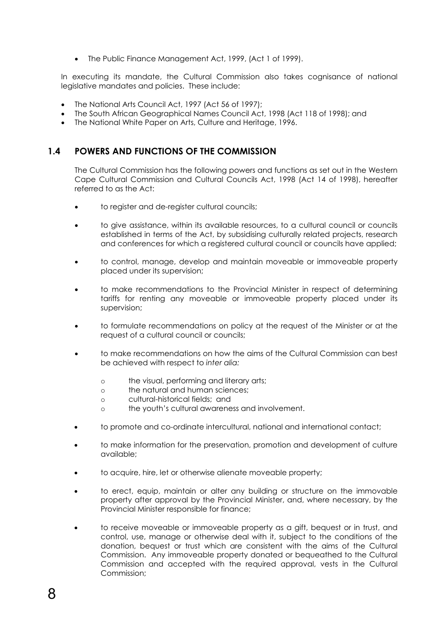• The Public Finance Management Act, 1999, (Act 1 of 1999).

In executing its mandate, the Cultural Commission also takes cognisance of national legislative mandates and policies. These include:

- The National Arts Council Act, 1997 (Act 56 of 1997);
- The South African Geographical Names Council Act, 1998 (Act 118 of 1998); and
- The National White Paper on Arts, Culture and Heritage, 1996.

### **1.4 POWERS AND FUNCTIONS OF THE COMMISSION**

The Cultural Commission has the following powers and functions as set out in the Western Cape Cultural Commission and Cultural Councils Act, 1998 (Act 14 of 1998), hereafter referred to as the Act:

- to register and de-register cultural councils;
- to give assistance, within its available resources, to a cultural council or councils established in terms of the Act, by subsidising culturally related projects, research and conferences for which a registered cultural council or councils have applied;
- to control, manage, develop and maintain moveable or immoveable property placed under its supervision;
- to make recommendations to the Provincial Minister in respect of determining tariffs for renting any moveable or immoveable property placed under its supervision;
- to formulate recommendations on policy at the request of the Minister or at the request of a cultural council or councils;
- to make recommendations on how the aims of the Cultural Commission can best be achieved with respect to *inter alia:*
	- o the visual, performing and literary arts;
	- o the natural and human sciences;
	- o cultural-historical fields; and
	- o the youth's cultural awareness and involvement.
- to promote and co-ordinate intercultural, national and international contact;
- to make information for the preservation, promotion and development of culture available;
- to acquire, hire, let or otherwise alienate moveable property;
- to erect, equip, maintain or alter any building or structure on the immovable property after approval by the Provincial Minister, and, where necessary, by the Provincial Minister responsible for finance;
- to receive moveable or immoveable property as a gift, bequest or in trust, and control, use, manage or otherwise deal with it, subject to the conditions of the donation, bequest or trust which are consistent with the aims of the Cultural Commission. Any immoveable property donated or bequeathed to the Cultural Commission and accepted with the required approval, vests in the Cultural Commission;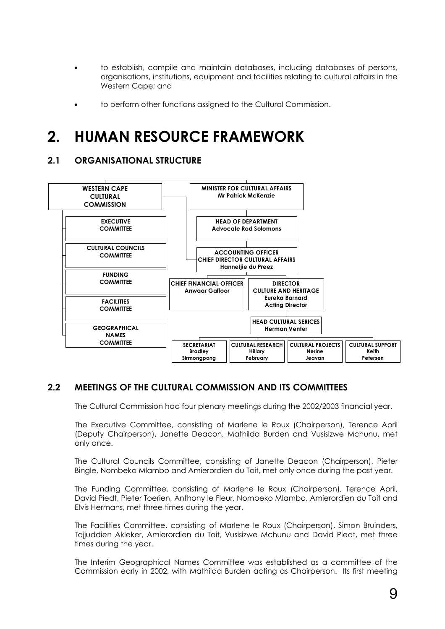- to establish, compile and maintain databases, including databases of persons, organisations, institutions, equipment and facilities relating to cultural affairs in the Western Cape; and
- to perform other functions assigned to the Cultural Commission.

## **2. HUMAN RESOURCE FRAMEWORK**

## **2.1 ORGANISATIONAL STRUCTURE**



## **2.2 MEETINGS OF THE CULTURAL COMMISSION AND ITS COMMITTEES**

The Cultural Commission had four plenary meetings during the 2002/2003 financial year.

The Executive Committee, consisting of Marlene le Roux (Chairperson), Terence April (Deputy Chairperson), Janette Deacon, Mathilda Burden and Vusisizwe Mchunu, met only once.

The Cultural Councils Committee, consisting of Janette Deacon (Chairperson), Pieter Bingle, Nombeko Mlambo and Amierordien du Toit, met only once during the past year.

The Funding Committee, consisting of Marlene le Roux (Chairperson), Terence April, David Piedt, Pieter Toerien, Anthony le Fleur, Nombeko Mlambo, Amierordien du Toit and Elvis Hermans, met three times during the year.

The Facilities Committee, consisting of Marlene le Roux (Chairperson), Simon Bruinders, Tajjuddien Akleker, Amierordien du Toit, Vusisizwe Mchunu and David Piedt, met three times during the year.

The Interim Geographical Names Committee was established as a committee of the Commission early in 2002, with Mathilda Burden acting as Chairperson. Its first meeting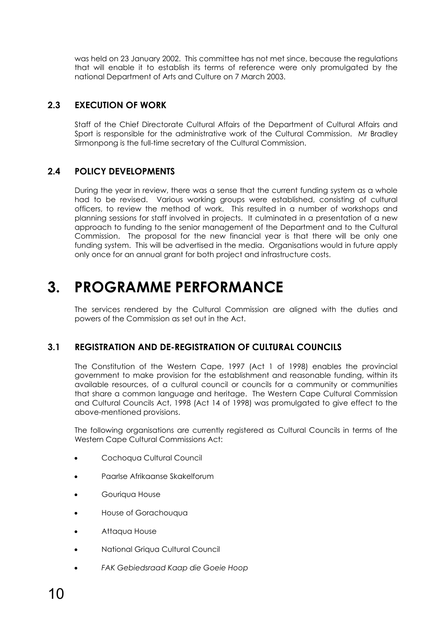was held on 23 January 2002. This committee has not met since, because the regulations that will enable it to establish its terms of reference were only promulgated by the national Department of Arts and Culture on 7 March 2003.

## **2.3 EXECUTION OF WORK**

Staff of the Chief Directorate Cultural Affairs of the Department of Cultural Affairs and Sport is responsible for the administrative work of the Cultural Commission. Mr Bradley Sirmonpong is the full-time secretary of the Cultural Commission.

## **2.4 POLICY DEVELOPMENTS**

During the year in review, there was a sense that the current funding system as a whole had to be revised. Various working groups were established, consisting of cultural officers, to review the method of work. This resulted in a number of workshops and planning sessions for staff involved in projects. It culminated in a presentation of a new approach to funding to the senior management of the Department and to the Cultural Commission. The proposal for the new financial year is that there will be only one funding system. This will be advertised in the media. Organisations would in future apply only once for an annual grant for both project and infrastructure costs.

## **3. PROGRAMME PERFORMANCE**

The services rendered by the Cultural Commission are aligned with the duties and powers of the Commission as set out in the Act.

## **3.1 REGISTRATION AND DE-REGISTRATION OF CULTURAL COUNCILS**

The Constitution of the Western Cape, 1997 (Act 1 of 1998) enables the provincial government to make provision for the establishment and reasonable funding, within its available resources, of a cultural council or councils for a community or communities that share a common language and heritage. The Western Cape Cultural Commission and Cultural Councils Act, 1998 (Act 14 of 1998) was promulgated to give effect to the above-mentioned provisions.

The following organisations are currently registered as Cultural Councils in terms of the Western Cape Cultural Commissions Act:

- Cochoqua Cultural Council
- Paarlse Afrikaanse Skakelforum
- Gouriqua House
- House of Gorachouqua
- Attaqua House
- National Griqua Cultural Council
- *FAK Gebiedsraad Kaap die Goeie Hoop*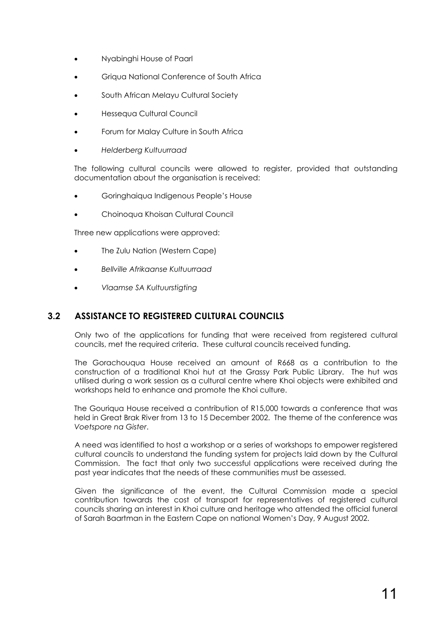- Nyabinghi House of Paarl
- Griqua National Conference of South Africa
- South African Melayu Cultural Society
- Hessequa Cultural Council
- Forum for Malay Culture in South Africa
- *Helderberg Kultuurraad*

The following cultural councils were allowed to register, provided that outstanding documentation about the organisation is received:

- Goringhaiqua Indigenous People's House
- Choinoqua Khoisan Cultural Council

Three new applications were approved:

- The Zulu Nation (Western Cape)
- *Bellville Afrikaanse Kultuurraad*
- *Vlaamse SA Kultuurstigting*

## **3.2 ASSISTANCE TO REGISTERED CULTURAL COUNCILS**

Only two of the applications for funding that were received from registered cultural councils, met the required criteria. These cultural councils received funding.

The Gorachouqua House received an amount of R668 as a contribution to the construction of a traditional Khoi hut at the Grassy Park Public Library. The hut was utilised during a work session as a cultural centre where Khoi objects were exhibited and workshops held to enhance and promote the Khoi culture.

The Gouriqua House received a contribution of R15,000 towards a conference that was held in Great Brak River from 13 to 15 December 2002. The theme of the conference was *Voetspore na Gister*.

A need was identified to host a workshop or a series of workshops to empower registered cultural councils to understand the funding system for projects laid down by the Cultural Commission. The fact that only two successful applications were received during the past year indicates that the needs of these communities must be assessed.

Given the significance of the event, the Cultural Commission made a special contribution towards the cost of transport for representatives of registered cultural councils sharing an interest in Khoi culture and heritage who attended the official funeral of Sarah Baartman in the Eastern Cape on national Women's Day, 9 August 2002.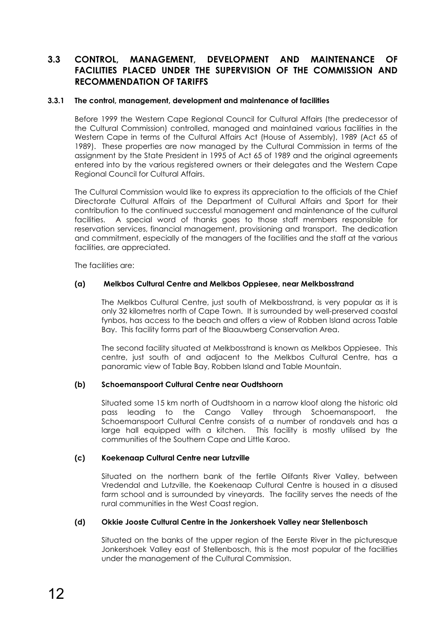## **3.3 CONTROL, MANAGEMENT, DEVELOPMENT AND MAINTENANCE OF FACILITIES PLACED UNDER THE SUPERVISION OF THE COMMISSION AND RECOMMENDATION OF TARIFFS**

#### **3.3.1 The control, management, development and maintenance of facilities**

Before 1999 the Western Cape Regional Council for Cultural Affairs (the predecessor of the Cultural Commission) controlled, managed and maintained various facilities in the Western Cape in terms of the Cultural Affairs Act (House of Assembly), 1989 (Act 65 of 1989). These properties are now managed by the Cultural Commission in terms of the assignment by the State President in 1995 of Act 65 of 1989 and the original agreements entered into by the various registered owners or their delegates and the Western Cape Regional Council for Cultural Affairs.

The Cultural Commission would like to express its appreciation to the officials of the Chief Directorate Cultural Affairs of the Department of Cultural Affairs and Sport for their contribution to the continued successful management and maintenance of the cultural facilities. A special word of thanks goes to those staff members responsible for reservation services, financial management, provisioning and transport. The dedication and commitment, especially of the managers of the facilities and the staff at the various facilities, are appreciated.

The facilities are:

#### **(a) Melkbos Cultural Centre and Melkbos Oppiesee, near Melkbosstrand**

The Melkbos Cultural Centre, just south of Melkbosstrand, is very popular as it is only 32 kilometres north of Cape Town. It is surrounded by well-preserved coastal fynbos, has access to the beach and offers a view of Robben Island across Table Bay. This facility forms part of the Blaauwberg Conservation Area.

The second facility situated at Melkbosstrand is known as Melkbos Oppiesee. This centre, just south of and adjacent to the Melkbos Cultural Centre, has a panoramic view of Table Bay, Robben Island and Table Mountain.

#### **(b) Schoemanspoort Cultural Centre near Oudtshoorn**

Situated some 15 km north of Oudtshoorn in a narrow kloof along the historic old pass leading to the Cango Valley through Schoemanspoort, the Schoemanspoort Cultural Centre consists of a number of rondavels and has a large hall equipped with a kitchen. This facility is mostly utilised by the communities of the Southern Cape and Little Karoo.

#### **(c) Koekenaap Cultural Centre near Lutzville**

Situated on the northern bank of the fertile Olifants River Valley, between Vredendal and Lutzville, the Koekenaap Cultural Centre is housed in a disused farm school and is surrounded by vineyards. The facility serves the needs of the rural communities in the West Coast region.

#### **(d) Okkie Jooste Cultural Centre in the Jonkershoek Valley near Stellenbosch**

Situated on the banks of the upper region of the Eerste River in the picturesque Jonkershoek Valley east of Stellenbosch, this is the most popular of the facilities under the management of the Cultural Commission.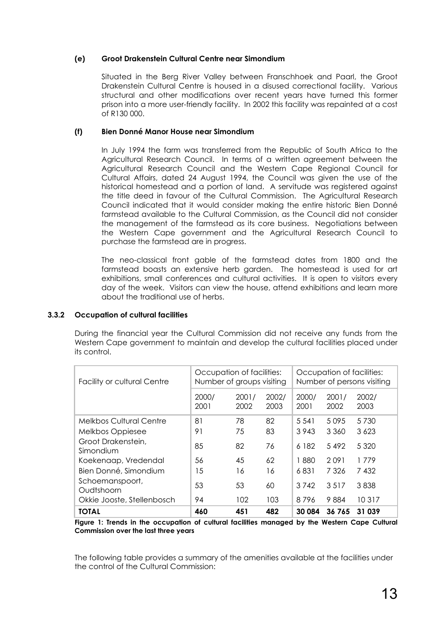#### **(e) Groot Drakenstein Cultural Centre near Simondium**

Situated in the Berg River Valley between Franschhoek and Paarl, the Groot Drakenstein Cultural Centre is housed in a disused correctional facility. Various structural and other modifications over recent years have turned this former prison into a more user-friendly facility. In 2002 this facility was repainted at a cost of R130 000.

#### **(f) Bien Donné Manor House near Simondium**

In July 1994 the farm was transferred from the Republic of South Africa to the Agricultural Research Council. In terms of a written agreement between the Agricultural Research Council and the Western Cape Regional Council for Cultural Affairs, dated 24 August 1994, the Council was given the use of the historical homestead and a portion of land. A servitude was registered against the title deed in favour of the Cultural Commission. The Agricultural Research Council indicated that it would consider making the entire historic Bien Donné farmstead available to the Cultural Commission, as the Council did not consider the management of the farmstead as its core business. Negotiations between the Western Cape government and the Agricultural Research Council to purchase the farmstead are in progress.

The neo-classical front gable of the farmstead dates from 1800 and the farmstead boasts an extensive herb garden. The homestead is used for art exhibitions, small conferences and cultural activities. It is open to visitors every day of the week. Visitors can view the house, attend exhibitions and learn more about the traditional use of herbs.

#### **3.3.2 Occupation of cultural facilities**

During the financial year the Cultural Commission did not receive any funds from the Western Cape government to maintain and develop the cultural facilities placed under its control.

| <b>Facility or cultural Centre</b> | Occupation of facilities:<br>Number of groups visiting |               |               | Occupation of facilities:<br>Number of persons visiting |               |               |
|------------------------------------|--------------------------------------------------------|---------------|---------------|---------------------------------------------------------|---------------|---------------|
|                                    | 2000/<br>2001                                          | 2001/<br>2002 | 2002/<br>2003 | 2000/<br>2001                                           | 2001/<br>2002 | 2002/<br>2003 |
| <b>Melkbos Cultural Centre</b>     | 81                                                     | 78            | 82            | 5 5 4 1                                                 | 5095          | 5 7 3 0       |
| Melkbos Oppiesee                   | 91                                                     | 75            | 83            | 3 9 4 3                                                 | 3 3 6 0       | 3 6 2 3       |
| Groot Drakenstein,<br>Simondium    | 85                                                     | 82            | 76            | 6 182                                                   | 5492          | 5 3 2 0       |
| Koekenaap, Vredendal               | 56                                                     | 45            | 62            | 1880                                                    | 2091          | 1779          |
| Bien Donné, Simondium              | 15                                                     | 16            | 16            | 6831                                                    | 7326          | 7432          |
| Schoemanspoort,<br>Oudtshoorn      | 53                                                     | 53            | 60            | 3742                                                    | 3517          | 3838          |
| Okkie Jooste, Stellenbosch         | 94                                                     | 102           | 103           | 8796                                                    | 9884          | 10317         |
| <b>TOTAL</b>                       | 460                                                    | 451           | 482           | 30 084                                                  | 36765         | 31 039        |

**Figure 1: Trends in the occupation of cultural facilities managed by the Western Cape Cultural Commission over the last three years** 

The following table provides a summary of the amenities available at the facilities under the control of the Cultural Commission: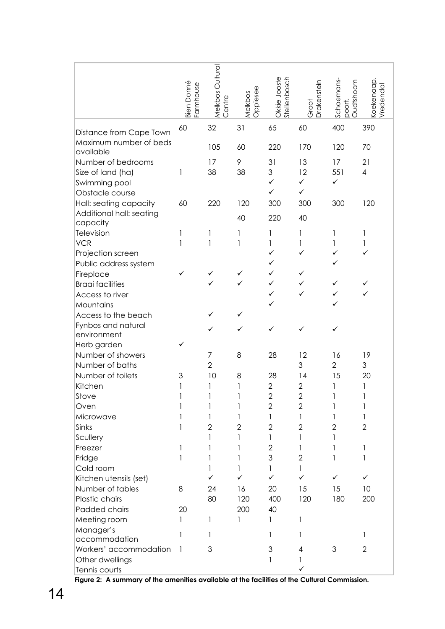|                                      | Bien Donné<br>Farmhouse | Melkbos Cultural<br>Centre | Oppiesee<br>Melkbos | Okkie Jooste<br><b>Stellenbosch</b> | Drakenstein<br>Groot | Schoemans-<br>Oudtshoorn<br>poort, | <oekenaap<br>Vredendal</oekenaap<br> |
|--------------------------------------|-------------------------|----------------------------|---------------------|-------------------------------------|----------------------|------------------------------------|--------------------------------------|
|                                      |                         |                            |                     |                                     |                      |                                    |                                      |
| Distance from Cape Town              | 60                      | 32                         | 31                  | 65                                  | 60                   | 400                                | 390                                  |
| Maximum number of beds               |                         | 105                        | 60                  | 220                                 | 170                  | 120                                | 70                                   |
| available                            |                         |                            |                     |                                     |                      |                                    |                                      |
| Number of bedrooms                   |                         | 17                         | 9                   | 31                                  | 13                   | 17                                 | 21                                   |
| Size of land (ha)                    | 1                       | 38                         | 38                  | 3                                   | 12                   | 551                                | $\overline{\mathcal{A}}$             |
| Swimming pool                        |                         |                            |                     | ✓                                   | $\checkmark$         | ✓                                  |                                      |
| Obstacle course                      |                         |                            |                     | ✓                                   | $\checkmark$         |                                    |                                      |
| Hall: seating capacity               | 60                      | 220                        | 120                 | 300                                 | 300                  | 300                                | 120                                  |
| Additional hall: seating<br>capacity |                         |                            | 40                  | 220                                 | 40                   |                                    |                                      |
| Television                           | 1                       | 1                          | 1                   | 1                                   | 1                    | 1                                  | 1                                    |
| <b>VCR</b>                           | 1                       | 1                          | 1                   | 1                                   | 1                    | 1                                  | 1                                    |
| Projection screen                    |                         |                            |                     | ✓                                   | ✓                    | ✓                                  |                                      |
| Public address system                |                         |                            |                     | ✓                                   |                      |                                    |                                      |
| Fireplace                            | ✓                       |                            | ✓                   | ✓                                   | ✓                    |                                    |                                      |
| <b>Braai facilities</b>              |                         | ✓                          | ✓                   | ✓                                   | ✓                    | ✓                                  |                                      |
| Access to river                      |                         |                            |                     |                                     | ✓                    | ✓                                  |                                      |
| Mountains                            |                         |                            |                     | ✓                                   |                      |                                    |                                      |
| Access to the beach                  |                         |                            | ✓                   |                                     |                      |                                    |                                      |
| Fynbos and natural                   |                         |                            | ✓                   | ✓                                   | ✓                    | ✓                                  |                                      |
| environment                          |                         |                            |                     |                                     |                      |                                    |                                      |
| Herb garden                          | ✓                       |                            |                     |                                     |                      |                                    |                                      |
| Number of showers                    |                         | 7                          | 8                   | 28                                  | 12                   | 16                                 | 19                                   |
| Number of baths                      |                         | $\overline{2}$             |                     |                                     | 3                    | $\overline{2}$                     | 3                                    |
| Number of toilets                    | 3                       | 10                         | 8                   | 28                                  | 14                   | 15                                 | 20                                   |
| Kitchen                              | 1                       | 1                          | 1                   | $\overline{2}$                      | $\overline{2}$       | 1                                  | 1                                    |
| Stove                                |                         |                            |                     | $\overline{c}$                      | $\overline{2}$       |                                    |                                      |
| Oven                                 |                         | 1                          | 1                   | $\overline{2}$                      | $\overline{2}$       |                                    | 1                                    |
| Microwave                            |                         | 1                          |                     | 1                                   | 1                    | 1                                  | 1                                    |
| Sinks                                |                         | $\overline{2}$             | $\overline{2}$      | $\overline{2}$                      | 2                    | $\mathbf{2}$                       | $\overline{2}$                       |
| Scullery                             |                         | 1                          |                     | 1                                   | 1                    |                                    |                                      |
| Freezer                              | 1                       | 1                          |                     | $\overline{2}$                      |                      |                                    | 1                                    |
| Fridge                               | 1                       | 1                          |                     | 3                                   | 2                    | 1                                  | 1                                    |
| Cold room                            |                         | 1                          |                     | 1                                   | 1                    |                                    |                                      |
| Kitchen utensils (set)               |                         |                            |                     | ✓                                   | ✓                    | ✓                                  | ✓                                    |
| Number of tables                     | 8                       | 24                         | 16                  | 20                                  | 15                   | 15                                 | 10                                   |
| Plastic chairs                       |                         | 80                         | 120                 | 400                                 | 120                  | 180                                | 200                                  |
| Padded chairs                        | 20                      |                            | 200                 | 40                                  |                      |                                    |                                      |
| Meeting room                         | 1                       | 1                          | 1                   | 1                                   | 1                    |                                    |                                      |
| Manager's                            |                         | 1                          |                     | 1                                   |                      |                                    | 1                                    |
| accommodation                        |                         |                            |                     |                                     |                      |                                    |                                      |
| Workers' accommodation               | 1                       | 3                          |                     | 3                                   | 4                    | 3                                  | $\overline{2}$                       |
| Other dwellings                      |                         |                            |                     | 1                                   | 1                    |                                    |                                      |
| Tennis courts                        |                         |                            |                     |                                     | ✓                    |                                    |                                      |

**Figure 2: A summary of the amenities available at the facilities of the Cultural Commission.**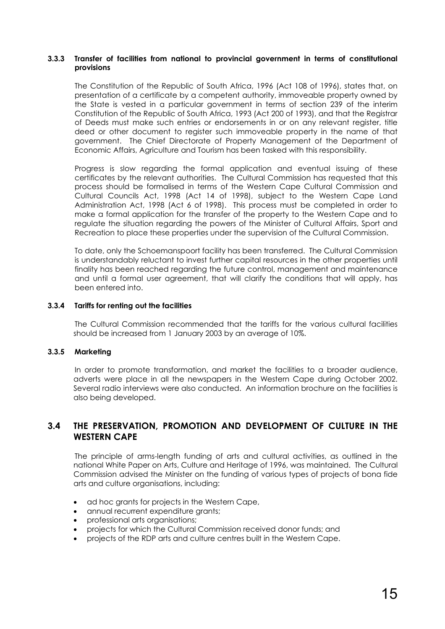#### **3.3.3 Transfer of facilities from national to provincial government in terms of constitutional provisions**

The Constitution of the Republic of South Africa, 1996 (Act 108 of 1996), states that, on presentation of a certificate by a competent authority, immoveable property owned by the State is vested in a particular government in terms of section 239 of the interim Constitution of the Republic of South Africa, 1993 (Act 200 of 1993), and that the Registrar of Deeds must make such entries or endorsements in or on any relevant register, title deed or other document to register such immoveable property in the name of that government. The Chief Directorate of Property Management of the Department of Economic Affairs, Agriculture and Tourism has been tasked with this responsibility.

Progress is slow regarding the formal application and eventual issuing of these certificates by the relevant authorities. The Cultural Commission has requested that this process should be formalised in terms of the Western Cape Cultural Commission and Cultural Councils Act, 1998 (Act 14 of 1998), subject to the Western Cape Land Administration Act, 1998 (Act 6 of 1998). This process must be completed in order to make a formal application for the transfer of the property to the Western Cape and to regulate the situation regarding the powers of the Minister of Cultural Affairs, Sport and Recreation to place these properties under the supervision of the Cultural Commission.

To date, only the Schoemanspoort facility has been transferred. The Cultural Commission is understandably reluctant to invest further capital resources in the other properties until finality has been reached regarding the future control, management and maintenance and until a formal user agreement, that will clarify the conditions that will apply, has been entered into.

#### **3.3.4 Tariffs for renting out the facilities**

The Cultural Commission recommended that the tariffs for the various cultural facilities should be increased from 1 January 2003 by an average of 10%.

#### **3.3.5 Marketing**

In order to promote transformation, and market the facilities to a broader audience, adverts were place in all the newspapers in the Western Cape during October 2002. Several radio interviews were also conducted. An information brochure on the facilities is also being developed.

### **3.4 THE PRESERVATION, PROMOTION AND DEVELOPMENT OF CULTURE IN THE WESTERN CAPE**

The principle of arms-length funding of arts and cultural activities, as outlined in the national White Paper on Arts, Culture and Heritage of 1996, was maintained. The Cultural Commission advised the Minister on the funding of various types of projects of bona fide arts and culture organisations, including:

- ad hoc grants for projects in the Western Cape,
- annual recurrent expenditure grants;
- professional arts organisations;
- projects for which the Cultural Commission received donor funds; and
- projects of the RDP arts and culture centres built in the Western Cape.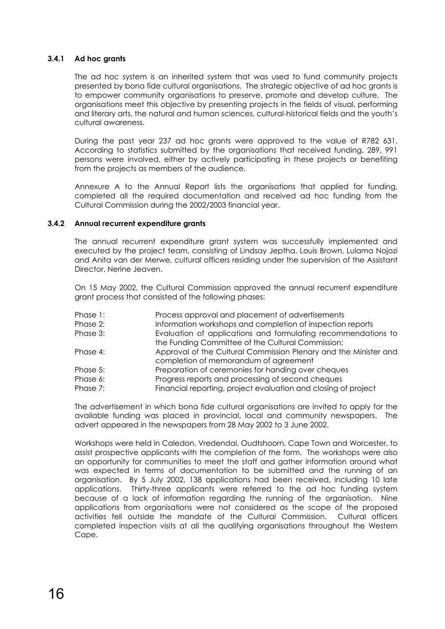#### **3.4.1 Ad hoc grants**

The ad hoc system is an inherited system that was used to fund community projects presented by bona fide cultural organisations. The strategic objective of ad hoc grants is to empower community organisations to preserve, promote and develop culture. The organisations meet this objective by presenting projects in the fields of visual, performing and literary arts, the natural and human sciences, cultural-historical fields and the youth's cultural awareness.

During the past year 237 ad hoc grants were approved to the value of R782 631. According to statistics submitted by the organisations that received funding, 289, 991 persons were involved, either by actively participating in these projects or benefiting from the projects as members of the audience.

Annexure A to the Annual Report lists the organisations that applied for funding, completed all the required documentation and received ad hoc funding from the Cultural Commission during the 2002/2003 financial year.

#### **3.4.2 Annual recurrent expenditure grants**

The annual recurrent expenditure grant system was successfully implemented and executed by the project team, consisting of Lindsay Jeptha, Louis Brown, Lulama Nojozi and Anita van der Merwe, cultural officers residing under the supervision of the Assistant Director, Nerine Jeaven.

On 15 May 2002, the Cultural Commission approved the annual recurrent expenditure grant process that consisted of the following phases:

| Process approval and placement of advertisements                 |
|------------------------------------------------------------------|
| Information workshops and completion of inspection reports       |
| Evaluation of applications and formulating recommendations to    |
| the Funding Committee of the Cultural Commission;                |
| Approval of the Cultural Commission Plenary and the Minister and |
| completion of memorandum of agreement                            |
| Preparation of ceremonies for handing over cheques               |
| Progress reports and processing of second cheques                |
| Financial reporting, project evaluation and closing of project   |
|                                                                  |

The advertisement in which bona fide cultural organisations are invited to apply for the available funding was placed in provincial, local and community newspapers. The advert appeared in the newspapers from 28 May 2002 to 3 June 2002.

Workshops were held in Caledon, Vredendal, Oudtshoorn, Cape Town and Worcester, to assist prospective applicants with the completion of the form. The workshops were also an opportunity for communities to meet the staff and gather information around what was expected in terms of documentation to be submitted and the running of an organisation. By 5 July 2002, 138 applications had been received, including 10 late applications. Thirty-three applicants were referred to the ad hoc funding system because of a lack of information regarding the running of the organisation. Nine applications from organisations were not considered as the scope of the proposed activities fell outside the mandate of the Cultural Commission. Cultural officers completed inspection visits at all the qualifying organisations throughout the Western Cape.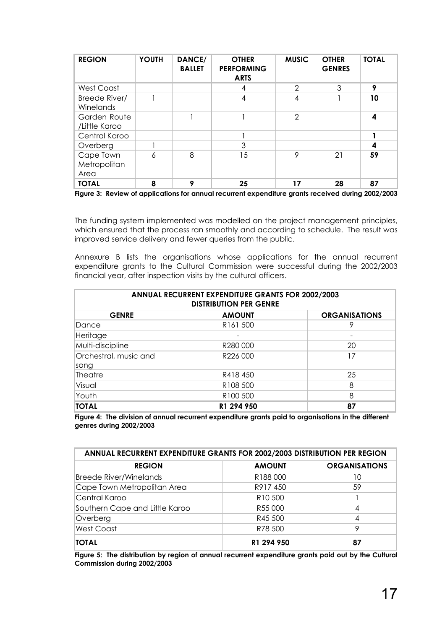| <b>REGION</b>                     | <b>YOUTH</b> | DANCE/<br><b>BALLET</b> | <b>OTHER</b><br><b>PERFORMING</b><br><b>ARTS</b> | <b>MUSIC</b>  | <b>OTHER</b><br><b>GENRES</b> | <b>TOTAL</b> |
|-----------------------------------|--------------|-------------------------|--------------------------------------------------|---------------|-------------------------------|--------------|
| West Coast                        |              |                         | 4                                                | $\mathcal{P}$ | 3                             | 9            |
| Breede River/<br>Winelands        |              |                         | 4                                                | 4             |                               | 10           |
| Garden Route<br>/Little Karoo     |              |                         |                                                  | $\mathcal{P}$ |                               | 4            |
| Central Karoo                     |              |                         |                                                  |               |                               |              |
| Overberg                          |              |                         | 3                                                |               |                               | 4            |
| Cape Town<br>Metropolitan<br>Area | 6            | 8                       | 15                                               | 9             | 21                            | 59           |
| <b>TOTAL</b>                      | 8            | Q                       | 25                                               | 17            | 28                            | 87           |

**Figure 3: Review of applications for annual recurrent expenditure grants received during 2002/2003** 

The funding system implemented was modelled on the project management principles, which ensured that the process ran smoothly and according to schedule. The result was improved service delivery and fewer queries from the public.

Annexure B lists the organisations whose applications for the annual recurrent expenditure grants to the Cultural Commission were successful during the 2002/2003 financial year, after inspection visits by the cultural officers.

| ANNUAL RECURRENT EXPENDITURE GRANTS FOR 2002/2003<br><b>DISTRIBUTION PER GENRE</b> |                       |                      |  |  |  |
|------------------------------------------------------------------------------------|-----------------------|----------------------|--|--|--|
| <b>GENRE</b>                                                                       | <b>AMOUNT</b>         | <b>ORGANISATIONS</b> |  |  |  |
| Dance                                                                              | R <sub>16</sub> 1 500 | 9                    |  |  |  |
| Heritage                                                                           |                       |                      |  |  |  |
| Multi-discipline                                                                   | R280 000              | 20                   |  |  |  |
| Orchestral, music and                                                              | R226 000              | 17                   |  |  |  |
| song                                                                               |                       |                      |  |  |  |
| Theatre                                                                            | R418450               | 25                   |  |  |  |
| Visual                                                                             | R <sub>108</sub> 500  | 8                    |  |  |  |
| Youth                                                                              | R <sub>100</sub> 500  | 8                    |  |  |  |
| <b>TOTAL</b>                                                                       | R1 294 950            | 87                   |  |  |  |

**Figure 4: The division of annual recurrent expenditure grants paid to organisations in the different genres during 2002/2003** 

| ANNUAL RECURRENT EXPENDITURE GRANTS FOR 2002/2003 DISTRIBUTION PER REGION |                     |                      |  |  |  |  |
|---------------------------------------------------------------------------|---------------------|----------------------|--|--|--|--|
| <b>REGION</b>                                                             | <b>AMOUNT</b>       | <b>ORGANISATIONS</b> |  |  |  |  |
| <b>Breede River/Winelands</b>                                             | R188000             | 10                   |  |  |  |  |
| Cape Town Metropolitan Area                                               | R917450             | 59                   |  |  |  |  |
| Central Karoo                                                             | R <sub>10</sub> 500 |                      |  |  |  |  |
| Southern Cape and Little Karoo                                            | R55 000             | 4                    |  |  |  |  |
| Overberg                                                                  | R45 500             | 4                    |  |  |  |  |
| <b>West Coast</b>                                                         | R78 500             | 9                    |  |  |  |  |
| <b>TOTAL</b>                                                              | R1 294 950          | 87                   |  |  |  |  |

**Figure 5: The distribution by region of annual recurrent expenditure grants paid out by the Cultural Commission during 2002/2003**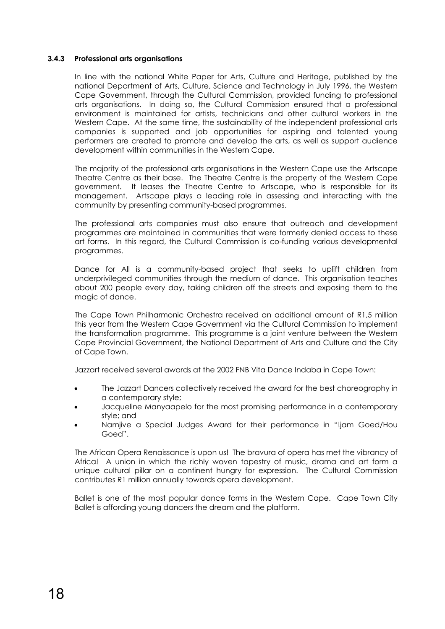#### **3.4.3 Professional arts organisations**

In line with the national White Paper for Arts, Culture and Heritage, published by the national Department of Arts, Culture, Science and Technology in July 1996, the Western Cape Government, through the Cultural Commission, provided funding to professional arts organisations. In doing so, the Cultural Commission ensured that a professional environment is maintained for artists, technicians and other cultural workers in the Western Cape. At the same time, the sustainability of the independent professional arts companies is supported and job opportunities for aspiring and talented young performers are created to promote and develop the arts, as well as support audience development within communities in the Western Cape.

The majority of the professional arts organisations in the Western Cape use the Artscape Theatre Centre as their base. The Theatre Centre is the property of the Western Cape government. It leases the Theatre Centre to Artscape, who is responsible for its management. Artscape plays a leading role in assessing and interacting with the community by presenting community-based programmes.

The professional arts companies must also ensure that outreach and development programmes are maintained in communities that were formerly denied access to these art forms. In this regard, the Cultural Commission is co-funding various developmental programmes.

Dance for All is a community-based project that seeks to uplift children from underprivileged communities through the medium of dance. This organisation teaches about 200 people every day, taking children off the streets and exposing them to the magic of dance.

The Cape Town Philharmonic Orchestra received an additional amount of R1,5 million this year from the Western Cape Government via the Cultural Commission to implement the transformation programme. This programme is a joint venture between the Western Cape Provincial Government, the National Department of Arts and Culture and the City of Cape Town.

Jazzart received several awards at the 2002 FNB Vita Dance Indaba in Cape Town:

- The Jazzart Dancers collectively received the award for the best choreography in a contemporary style;
- Jacqueline Manyaapelo for the most promising performance in a contemporary style; and
- Namjive a Special Judges Award for their performance in "!jam Goed/Hou Goed".

The African Opera Renaissance is upon us! The bravura of opera has met the vibrancy of Africa! A union in which the richly woven tapestry of music, drama and art form a unique cultural pillar on a continent hungry for expression. The Cultural Commission contributes R1 million annually towards opera development.

Ballet is one of the most popular dance forms in the Western Cape. Cape Town City Ballet is affording young dancers the dream and the platform.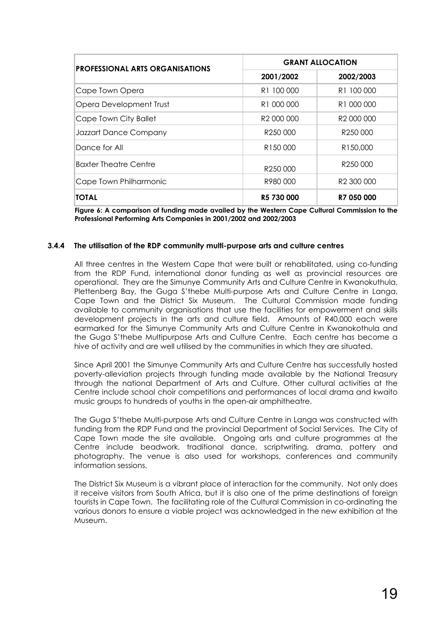| <b>PROFESSIONAL ARTS ORGANISATIONS</b> | <b>GRANT ALLOCATION</b> |                        |  |  |
|----------------------------------------|-------------------------|------------------------|--|--|
|                                        | 2001/2002               | 2002/2003              |  |  |
| Cape Town Opera                        | R <sub>1</sub> 100 000  | R <sub>1</sub> 100 000 |  |  |
| Opera Development Trust                | R <sub>1</sub> 000 000  | R <sub>1</sub> 000 000 |  |  |
| Cape Town City Ballet                  | R <sub>2</sub> 000 000  | R <sub>2</sub> 000 000 |  |  |
| Jazzart Dance Company                  | R <sub>250</sub> 000    | R <sub>250</sub> 000   |  |  |
| Dance for All                          | R <sub>150</sub> 000    | R150,000               |  |  |
| <b>Baxter Theatre Centre</b>           | R <sub>250</sub> 000    | R <sub>250</sub> 000   |  |  |
| Cape Town Philharmonic                 | R980000                 | R <sub>2</sub> 300 000 |  |  |
| <b>TOTAL</b>                           | R5 730 000              | R7 050 000             |  |  |

**Figure 6: A comparison of funding made availed by the Western Cape Cultural Commission to the Professional Performing Arts Companies in 2001/2002 and 2002/2003** 

#### **3.4.4 The utilisation of the RDP community multi-purpose arts and culture centres**

All three centres in the Western Cape that were built or rehabilitated, using co-funding from the RDP Fund, international donor funding as well as provincial resources are operational. They are the Simunye Community Arts and Culture Centre in Kwanokuthula, Plettenberg Bay, the Guga S'thebe Multi-purpose Arts and Culture Centre in Langa, Cape Town and the District Six Museum. The Cultural Commission made funding available to community organisations that use the facilities for empowerment and skills development projects in the arts and culture field. Amounts of R40,000 each were earmarked for the Simunye Community Arts and Culture Centre in Kwanokothula and the Guga S'thebe Multipurpose Arts and Culture Centre. Each centre has become a hive of activity and are well utilised by the communities in which they are situated.

Since April 2001 the Simunye Community Arts and Culture Centre has successfully hosted poverty-alleviation projects through funding made available by the National Treasury through the national Department of Arts and Culture. Other cultural activities at the Centre include school choir competitions and performances of local drama and kwaito music groups to hundreds of youths in the open-air amphitheatre.

The Guga S'thebe Multi-purpose Arts and Culture Centre in Langa was constructed with funding from the RDP Fund and the provincial Department of Social Services. The City of Cape Town made the site available. Ongoing arts and culture programmes at the Centre include beadwork, traditional dance, scriptwriting, drama, pottery and photography. The venue is also used for workshops, conferences and community information sessions.

The District Six Museum is a vibrant place of interaction for the community. Not only does it receive visitors from South Africa, but it is also one of the prime destinations of foreign tourists in Cape Town. The facilitating role of the Cultural Commission in co-ordinating the various donors to ensure a viable project was acknowledged in the new exhibition at the Museum.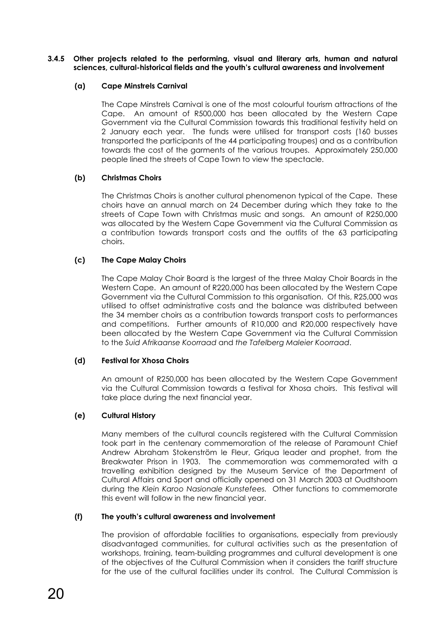#### **3.4.5 Other projects related to the performing, visual and literary arts, human and natural sciences, cultural-historical fields and the youth's cultural awareness and involvement**

#### **(a) Cape Minstrels Carnival**

The Cape Minstrels Carnival is one of the most colourful tourism attractions of the Cape. An amount of R500,000 has been allocated by the Western Cape Government via the Cultural Commission towards this traditional festivity held on 2 January each year. The funds were utilised for transport costs (160 busses transported the participants of the 44 participating troupes) and as a contribution towards the cost of the garments of the various troupes. Approximately 250,000 people lined the streets of Cape Town to view the spectacle.

#### **(b) Christmas Choirs**

The Christmas Choirs is another cultural phenomenon typical of the Cape. These choirs have an annual march on 24 December during which they take to the streets of Cape Town with Christmas music and songs. An amount of R250,000 was allocated by the Western Cape Government via the Cultural Commission as a contribution towards transport costs and the outfits of the 63 participating choirs.

#### **(c) The Cape Malay Choirs**

The Cape Malay Choir Board is the largest of the three Malay Choir Boards in the Western Cape. An amount of R220,000 has been allocated by the Western Cape Government via the Cultural Commission to this organisation. Of this, R25,000 was utilised to offset administrative costs and the balance was distributed between the 34 member choirs as a contribution towards transport costs to performances and competitions. Further amounts of R10,000 and R20,000 respectively have been allocated by the Western Cape Government via the Cultural Commission to the *Suid Afrikaanse Koorraad* and *the Tafelberg Maleier Koorraad*.

#### **(d) Festival for Xhosa Choirs**

An amount of R250,000 has been allocated by the Western Cape Government via the Cultural Commission towards a festival for Xhosa choirs. This festival will take place during the next financial year.

#### **(e) Cultural History**

Many members of the cultural councils registered with the Cultural Commission took part in the centenary commemoration of the release of Paramount Chief Andrew Abraham Stokenström le Fleur, Griqua leader and prophet, from the Breakwater Prison in 1903. The commemoration was commemorated with a travelling exhibition designed by the Museum Service of the Department of Cultural Affairs and Sport and officially opened on 31 March 2003 at Oudtshoorn during the *Klein Karoo Nasionale Kunstefees.* Other functions to commemorate this event will follow in the new financial year.

#### **(f) The youth's cultural awareness and involvement**

 The provision of affordable facilities to organisations, especially from previously disadvantaged communities, for cultural activities such as the presentation of workshops, training, team-building programmes and cultural development is one of the objectives of the Cultural Commission when it considers the tariff structure for the use of the cultural facilities under its control. The Cultural Commission is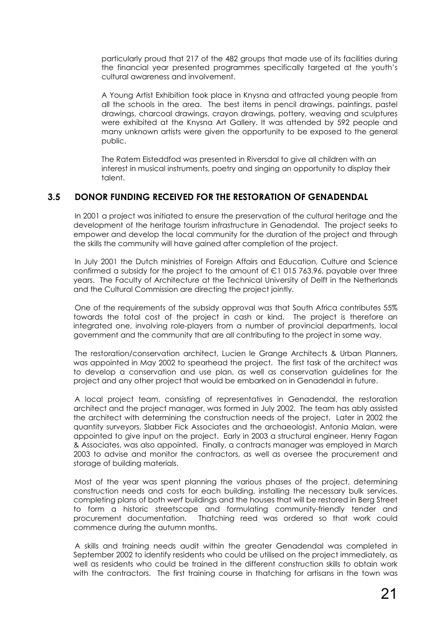particularly proud that 217 of the 482 groups that made use of its facilities during the financial year presented programmes specifically targeted at the youth's cultural awareness and involvement.

 A Young Artist Exhibition took place in Knysna and attracted young people from all the schools in the area. The best items in pencil drawings, paintings, pastel drawings, charcoal drawings, crayon drawings, pottery, weaving and sculptures were exhibited at the Knysna Art Gallery. It was attended by 592 people and many unknown artists were given the opportunity to be exposed to the general public.

The Ratem Eisteddfod was presented in Riversdal to give all children with an interest in musical instruments, poetry and singing an opportunity to display their talent.

### **3.5 DONOR FUNDING RECEIVED FOR THE RESTORATION OF GENADENDAL**

In 2001 a project was initiated to ensure the preservation of the cultural heritage and the development of the heritage tourism infrastructure in Genadendal. The project seeks to empower and develop the local community for the duration of the project and through the skills the community will have gained after completion of the project.

In July 2001 the Dutch ministries of Foreign Affairs and Education, Culture and Science confirmed a subsidy for the project to the amount of  $E1$  015 763.96, payable over three years. The Faculty of Architecture at the Technical University of Delft in the Netherlands and the Cultural Commission are directing the project jointly.

One of the requirements of the subsidy approval was that South Africa contributes 55% towards the total cost of the project in cash or kind. The project is therefore an integrated one, involving role-players from a number of provincial departments, local government and the community that are all contributing to the project in some way.

The restoration/conservation architect, Lucien le Grange Architects & Urban Planners, was appointed in May 2002 to spearhead the project. The first task of the architect was to develop a conservation and use plan, as well as conservation guidelines for the project and any other project that would be embarked on in Genadendal in future.

A local project team, consisting of representatives in Genadendal, the restoration architect and the project manager, was formed in July 2002. The team has ably assisted the architect with determining the construction needs of the project. Later in 2002 the quantity surveyors, Slabber Fick Associates and the archaeologist, Antonia Malan, were appointed to give input on the project. Early in 2003 a structural engineer, Henry Fagan & Associates, was also appointed. Finally, a contracts manager was employed in March 2003 to advise and monitor the contractors, as well as oversee the procurement and storage of building materials.

Most of the year was spent planning the various phases of the project, determining construction needs and costs for each building, installing the necessary bulk services, completing plans of both *werf* buildings and the houses that will be restored in Berg Street to form a historic streetscape and formulating community-friendly tender and procurement documentation. Thatching reed was ordered so that work could commence during the autumn months.

A skills and training needs audit within the greater Genadendal was completed in September 2002 to identify residents who could be utilised on the project immediately, as well as residents who could be trained in the different construction skills to obtain work with the contractors. The first training course in thatching for artisans in the town was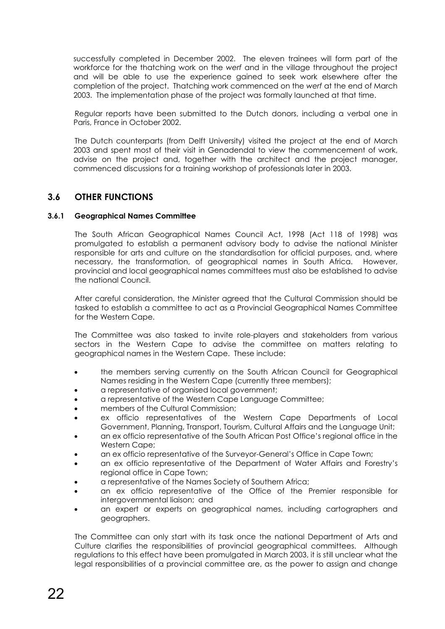successfully completed in December 2002. The eleven trainees will form part of the workforce for the thatching work on the *werf* and in the village throughout the project and will be able to use the experience gained to seek work elsewhere after the completion of the project. Thatching work commenced on the *werf* at the end of March 2003. The implementation phase of the project was formally launched at that time.

Regular reports have been submitted to the Dutch donors, including a verbal one in Paris, France in October 2002.

The Dutch counterparts (from Delft University) visited the project at the end of March 2003 and spent most of their visit in Genadendal to view the commencement of work, advise on the project and, together with the architect and the project manager, commenced discussions for a training workshop of professionals later in 2003.

### **3.6 OTHER FUNCTIONS**

#### **3.6.1 Geographical Names Committee**

The South African Geographical Names Council Act, 1998 (Act 118 of 1998) was promulgated to establish a permanent advisory body to advise the national Minister responsible for arts and culture on the standardisation for official purposes, and, where necessary, the transformation, of geographical names in South Africa. However, provincial and local geographical names committees must also be established to advise the national Council.

 After careful consideration, the Minister agreed that the Cultural Commission should be tasked to establish a committee to act as a Provincial Geographical Names Committee for the Western Cape.

The Committee was also tasked to invite role-players and stakeholders from various sectors in the Western Cape to advise the committee on matters relating to geographical names in the Western Cape. These include:

- the members serving currently on the South African Council for Geographical Names residing in the Western Cape (currently three members);
- a representative of organised local government;
- a representative of the Western Cape Language Committee;
- members of the Cultural Commission;
- ex officio representatives of the Western Cape Departments of Local Government, Planning, Transport, Tourism, Cultural Affairs and the Language Unit;
- an ex officio representative of the South African Post Office's regional office in the Western Cape:
- an ex officio representative of the Surveyor-General's Office in Cape Town;
- an ex officio representative of the Department of Water Affairs and Forestry's regional office in Cape Town;
- a representative of the Names Society of Southern Africa;
- an ex officio representative of the Office of the Premier responsible for intergovernmental liaison; and
- an expert or experts on geographical names, including cartographers and geographers.

The Committee can only start with its task once the national Department of Arts and Culture clarifies the responsibilities of provincial geographical committees. Although regulations to this effect have been promulgated in March 2003, it is still unclear what the legal responsibilities of a provincial committee are, as the power to assign and change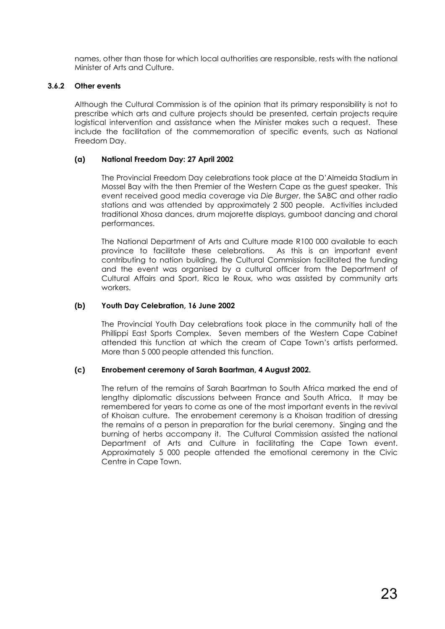names, other than those for which local authorities are responsible, rests with the national Minister of Arts and Culture.

#### **3.6.2 Other events**

Although the Cultural Commission is of the opinion that its primary responsibility is not to prescribe which arts and culture projects should be presented, certain projects require logistical intervention and assistance when the Minister makes such a request. These include the facilitation of the commemoration of specific events, such as National Freedom Day.

#### **(a) National Freedom Day: 27 April 2002**

The Provincial Freedom Day celebrations took place at the D'Almeida Stadium in Mossel Bay with the then Premier of the Western Cape as the guest speaker. This event received good media coverage via *Die Burger*, the SABC and other radio stations and was attended by approximately 2 500 people. Activities included traditional Xhosa dances, drum majorette displays, gumboot dancing and choral performances.

The National Department of Arts and Culture made R100 000 available to each province to facilitate these celebrations. As this is an important event contributing to nation building, the Cultural Commission facilitated the funding and the event was organised by a cultural officer from the Department of Cultural Affairs and Sport, Rica le Roux, who was assisted by community arts workers.

#### **(b) Youth Day Celebration, 16 June 2002**

The Provincial Youth Day celebrations took place in the community hall of the Phillippi East Sports Complex. Seven members of the Western Cape Cabinet attended this function at which the cream of Cape Town's artists performed. More than 5 000 people attended this function.

#### **(c) Enrobement ceremony of Sarah Baartman, 4 August 2002.**

The return of the remains of Sarah Baartman to South Africa marked the end of lengthy diplomatic discussions between France and South Africa. It may be remembered for years to come as one of the most important events in the revival of Khoisan culture. The enrobement ceremony is a Khoisan tradition of dressing the remains of a person in preparation for the burial ceremony. Singing and the burning of herbs accompany it. The Cultural Commission assisted the national Department of Arts and Culture in facilitating the Cape Town event. Approximately 5 000 people attended the emotional ceremony in the Civic Centre in Cape Town.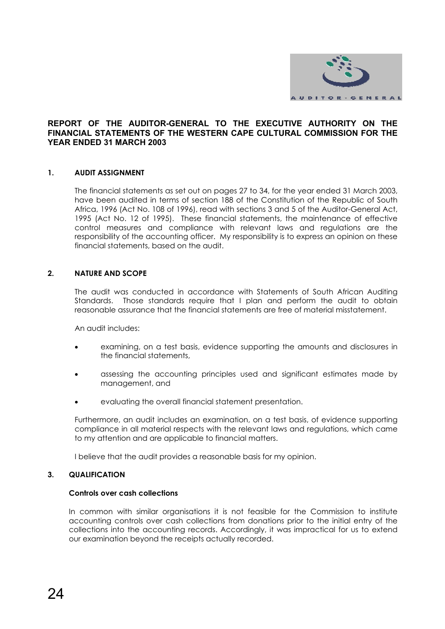

#### **REPORT OF THE AUDITOR-GENERAL TO THE EXECUTIVE AUTHORITY ON THE FINANCIAL STATEMENTS OF THE WESTERN CAPE CULTURAL COMMISSION FOR THE YEAR ENDED 31 MARCH 2003**

#### **1. AUDIT ASSIGNMENT**

The financial statements as set out on pages 27 to 34, for the year ended 31 March 2003, have been audited in terms of section 188 of the Constitution of the Republic of South Africa, 1996 (Act No. 108 of 1996), read with sections 3 and 5 of the Auditor-General Act, 1995 (Act No. 12 of 1995). These financial statements, the maintenance of effective control measures and compliance with relevant laws and regulations are the responsibility of the accounting officer. My responsibility is to express an opinion on these financial statements, based on the audit.

#### **2. NATURE AND SCOPE**

The audit was conducted in accordance with Statements of South African Auditing Standards. Those standards require that I plan and perform the audit to obtain reasonable assurance that the financial statements are free of material misstatement.

An audit includes:

- examining, on a test basis, evidence supporting the amounts and disclosures in the financial statements,
- assessing the accounting principles used and significant estimates made by management, and
- evaluating the overall financial statement presentation.

Furthermore, an audit includes an examination, on a test basis, of evidence supporting compliance in all material respects with the relevant laws and regulations, which came to my attention and are applicable to financial matters.

I believe that the audit provides a reasonable basis for my opinion.

#### **3. QUALIFICATION**

#### **Controls over cash collections**

In common with similar organisations it is not feasible for the Commission to institute accounting controls over cash collections from donations prior to the initial entry of the collections into the accounting records. Accordingly, it was impractical for us to extend our examination beyond the receipts actually recorded.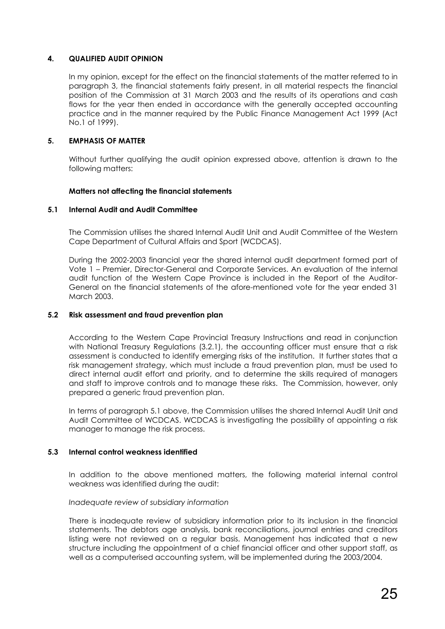#### **4. QUALIFIED AUDIT OPINION**

In my opinion, except for the effect on the financial statements of the matter referred to in paragraph 3, the financial statements fairly present, in all material respects the financial position of the Commission at 31 March 2003 and the results of its operations and cash flows for the year then ended in accordance with the generally accepted accounting practice and in the manner required by the Public Finance Management Act 1999 (Act No.1 of 1999).

#### **5. EMPHASIS OF MATTER**

Without further qualifying the audit opinion expressed above, attention is drawn to the following matters:

#### **Matters not affecting the financial statements**

#### **5.1 Internal Audit and Audit Committee**

The Commission utilises the shared Internal Audit Unit and Audit Committee of the Western Cape Department of Cultural Affairs and Sport (WCDCAS).

During the 2002-2003 financial year the shared internal audit department formed part of Vote 1 – Premier, Director-General and Corporate Services. An evaluation of the internal audit function of the Western Cape Province is included in the Report of the Auditor-General on the financial statements of the afore-mentioned vote for the year ended 31 March 2003.

#### **5.2 Risk assessment and fraud prevention plan**

According to the Western Cape Provincial Treasury Instructions and read in conjunction with National Treasury Regulations (3.2.1), the accounting officer must ensure that a risk assessment is conducted to identify emerging risks of the institution. It further states that a risk management strategy, which must include a fraud prevention plan, must be used to direct internal audit effort and priority, and to determine the skills required of managers and staff to improve controls and to manage these risks. The Commission, however, only prepared a generic fraud prevention plan.

In terms of paragraph 5.1 above, the Commission utilises the shared Internal Audit Unit and Audit Committee of WCDCAS. WCDCAS is investigating the possibility of appointing a risk manager to manage the risk process.

#### **5.3 Internal control weakness identified**

In addition to the above mentioned matters, the following material internal control weakness was identified during the audit:

#### *Inadequate review of subsidiary information*

There is inadequate review of subsidiary information prior to its inclusion in the financial statements. The debtors age analysis, bank reconciliations, journal entries and creditors listing were not reviewed on a regular basis. Management has indicated that a new structure including the appointment of a chief financial officer and other support staff, as well as a computerised accounting system, will be implemented during the 2003/2004.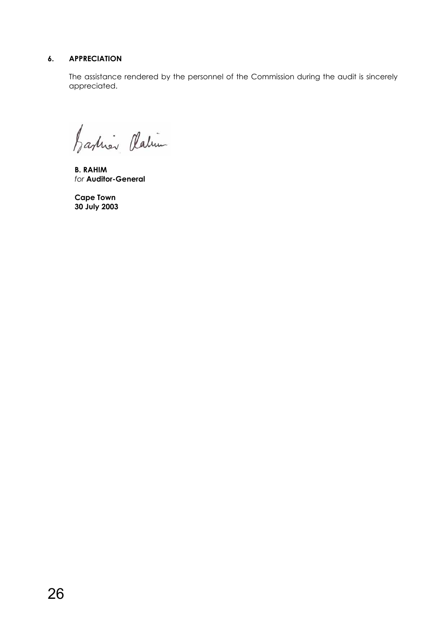### **6. APPRECIATION**

The assistance rendered by the personnel of the Commission during the audit is sincerely appreciated.

Jarliner Platin

**B. RAHIM**   *for* **Auditor-General** 

 **Cape Town 30 July 2003**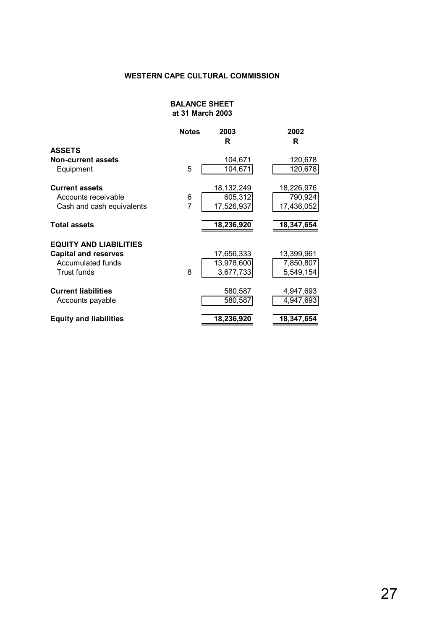#### **BALANCE SHEET at 31 March 2003**

|                               | <b>Notes</b> | 2003<br>R    | 2002<br>R  |
|-------------------------------|--------------|--------------|------------|
| <b>ASSETS</b>                 |              |              |            |
| <b>Non-current assets</b>     |              | 104,671      | 120,678    |
| Equipment                     | 5            | 104,671      | 120,678    |
| <b>Current assets</b>         |              | 18, 132, 249 | 18,226,976 |
| Accounts receivable           | 6            | 605,312      | 790,924    |
| Cash and cash equivalents     | 7            | 17,526,937   | 17,436,052 |
| <b>Total assets</b>           |              | 18,236,920   | 18,347,654 |
| <b>EQUITY AND LIABILITIES</b> |              |              |            |
| <b>Capital and reserves</b>   |              | 17,656,333   | 13,399,961 |
| Accumulated funds             |              | 13,978,600   | 7,850,807  |
| <b>Trust funds</b>            | 8            | 3,677,733    | 5,549,154  |
| <b>Current liabilities</b>    |              | 580,587      | 4,947,693  |
| Accounts payable              |              | 580,587      | 4,947,693  |
| <b>Equity and liabilities</b> |              | 18,236,920   | 18,347,654 |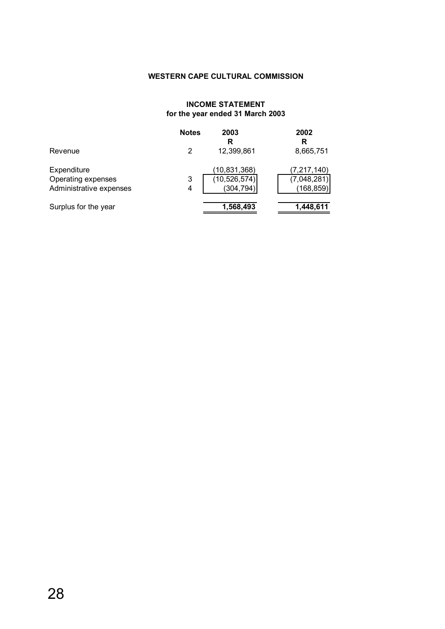#### **INCOME STATEMENT for the year ended 31 March 2003**

|                         | <b>Notes</b> | 2003<br>R      | 2002<br>R     |
|-------------------------|--------------|----------------|---------------|
| Revenue                 |              | 12,399,861     | 8,665,751     |
| Expenditure             |              | (10, 831, 368) | (7, 217, 140) |
| Operating expenses      | 3            | (10, 526, 574) | (7,048,281)   |
| Administrative expenses | 4            | (304, 794)     | (168, 859)    |
| Surplus for the year    |              | 1,568,493      | 1,448,611     |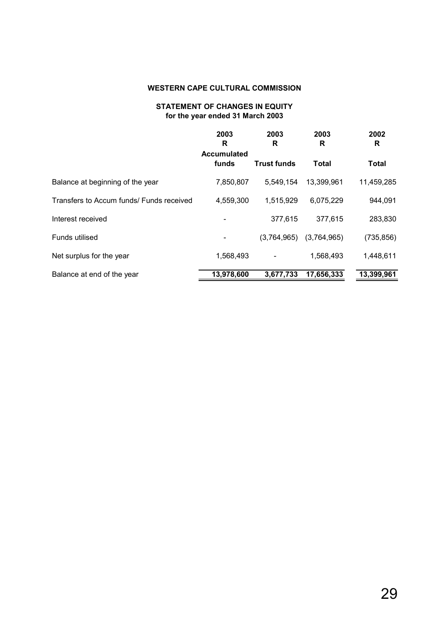#### **STATEMENT OF CHANGES IN EQUITY for the year ended 31 March 2003**

|                                          | 2003<br>R                   | 2003<br>R          | 2003<br>R    | 2002<br>R    |
|------------------------------------------|-----------------------------|--------------------|--------------|--------------|
|                                          | <b>Accumulated</b><br>funds | <b>Trust funds</b> | <b>Total</b> | <b>Total</b> |
| Balance at beginning of the year         | 7,850,807                   | 5,549,154          | 13,399,961   | 11,459,285   |
| Transfers to Accum funds/ Funds received | 4,559,300                   | 1,515,929          | 6,075,229    | 944,091      |
| Interest received                        |                             | 377,615            | 377,615      | 283,830      |
| Funds utilised                           |                             | (3,764,965)        | (3,764,965)  | (735, 856)   |
| Net surplus for the year                 | 1,568,493                   |                    | 1,568,493    | 1,448,611    |
| Balance at end of the year               | 13,978,600                  | 3,677,733          | 17,656,333   | 13,399,961   |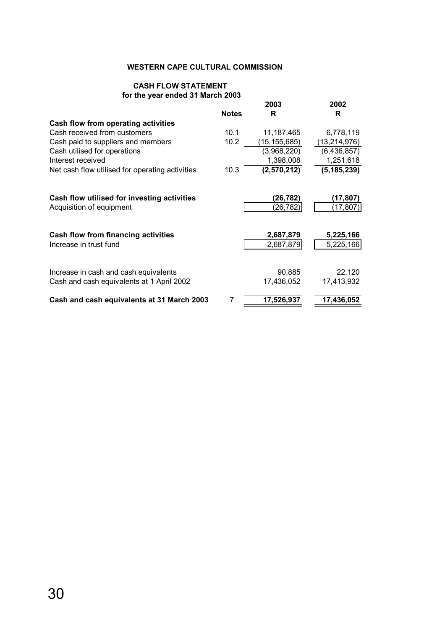#### **CASH FLOW STATEMENT for the year ended 31 March 2003**

|                                                 |              | 2003           | 2002           |
|-------------------------------------------------|--------------|----------------|----------------|
|                                                 | <b>Notes</b> | R              | R.             |
| Cash flow from operating activities             |              |                |                |
| Cash received from customers                    | 10.1         | 11, 187, 465   | 6,778,119      |
| Cash paid to suppliers and members              | 10.2         | (15, 155, 685) | (13, 214, 976) |
| Cash utilised for operations                    |              | (3,968,220)    | (6, 436, 857)  |
| Interest received                               |              | 1,398,008      | 1,251,618      |
| Net cash flow utilised for operating activities | 10.3         | (2,570,212)    | (5, 185, 239)  |
| Cash flow utilised for investing activities     |              | (26,782)       | (17,807)       |
| Acquisition of equipment                        |              | (26, 782)      | (17,807)       |
| Cash flow from financing activities             |              | 2,687,879      | 5,225,166      |
| Increase in trust fund                          |              | 2,687,879      | 5,225,166      |
| Increase in cash and cash equivalents           |              | 90,885         | 22,120         |
| Cash and cash equivalents at 1 April 2002       |              | 17,436,052     | 17,413,932     |
| Cash and cash equivalents at 31 March 2003      | 7            | 17,526,937     | 17,436,052     |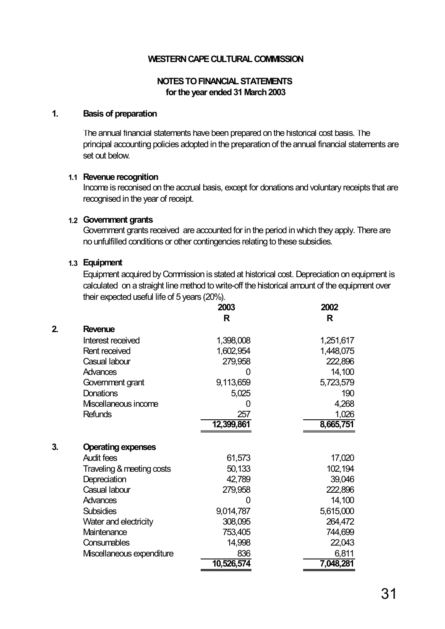### **NOTES TO FINANCIAL STATEMENTS for the year ended 31 March 2003**

#### **1. Basis of preparation**

The annual financial statements have been prepared on the historical cost basis. The principal accounting policies adopted in the preparation of the annual financial statements are set out below.

#### **1.1 Revenue recognition**

Income is reconised on the accrual basis, except for donations and voluntary receipts that are recognised in the year of receipt.

#### **1.2 Government grants**

Government grants received are accounted for in the period in which they apply. There are no unfulfilled conditions or other contingencies relating to these subsidies.

#### **1.3 Equipment**

Equipment acquired by Commission is stated at historical cost. Depreciation on equipment is calculated on a straight line method to write-off the historical amount of the equipment over their expected useful life of 5 years (20%).

|    |                           | 2003       | 2002      |
|----|---------------------------|------------|-----------|
|    |                           | R          | R         |
| 2. | <b>Revenue</b>            |            |           |
|    | Interest received         | 1,398,008  | 1,251,617 |
|    | Rent received             | 1,602,954  | 1,448,075 |
|    | Casual labour             | 279,958    | 222,896   |
|    | <b>Advances</b>           |            | 14,100    |
|    | Government grant          | 9,113,659  | 5,723,579 |
|    | <b>Donations</b>          | 5,025      | 190       |
|    | Miscellaneous income      | 0          | 4,268     |
|    | <b>Refunds</b>            | 257        | 1,026     |
|    |                           | 12,399,861 | 8,665,751 |
|    |                           |            |           |
| 3. | <b>Operating expenses</b> |            |           |
|    | <b>Audit fees</b>         | 61,573     | 17,020    |
|    | Traveling & meeting costs | 50,133     | 102,194   |
|    | Depreciation              | 42,789     | 39,046    |
|    | Casual labour             | 279,958    | 222,896   |
|    | <b>Advances</b>           |            | 14,100    |
|    | <b>Subsidies</b>          | 9,014,787  | 5,615,000 |
|    | Water and electricity     | 308,095    | 264,472   |
|    | Maintenance               | 753,405    | 744,699   |
|    | Consumables               | 14,998     | 22,043    |
|    | Miscellaneous expenditure | 836        | 6,811     |
|    |                           | 10,526,574 | 7,048,281 |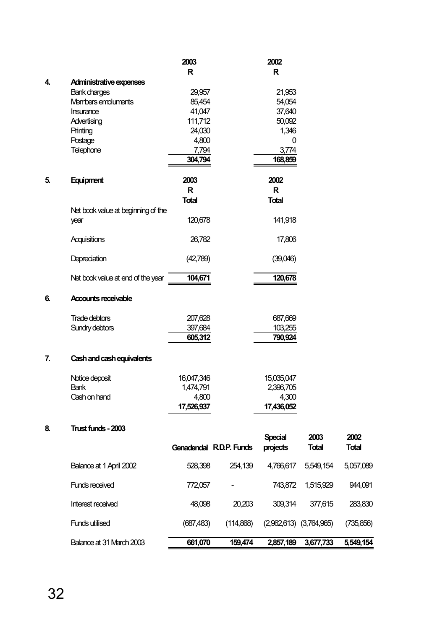|    |                                    | 2003                    |           | 2002                       |                             |                      |
|----|------------------------------------|-------------------------|-----------|----------------------------|-----------------------------|----------------------|
|    |                                    | $\mathsf{R}$            |           | $\mathsf{R}$               |                             |                      |
| 4. | Administrative expenses            |                         |           |                            |                             |                      |
|    | Bank charges                       | 29,957                  |           | 21,953                     |                             |                      |
|    | Members empluments                 | 85,454                  |           | 54,054                     |                             |                      |
|    | Insurance                          | 41,047                  |           | 37,640                     |                             |                      |
|    | Advertising                        | 111,712                 |           | 50,092                     |                             |                      |
|    | Printing                           | 24,030                  |           | 1,346                      |                             |                      |
|    | Postage                            | 4,800                   |           | 0                          |                             |                      |
|    | Telephone                          | 7,794<br>304,794        |           | 3,774<br>168,859           |                             |                      |
| 5. | Equipment                          | 2003                    |           | 2002                       |                             |                      |
|    |                                    | $\mathsf{R}$            |           | R                          |                             |                      |
|    |                                    | <b>Total</b>            |           | <b>Total</b>               |                             |                      |
|    | Net book value at beginning of the |                         |           |                            |                             |                      |
|    | year                               | 120,678                 |           | 141,918                    |                             |                      |
|    | Acquisitions                       | 26,782                  |           | 17,806                     |                             |                      |
|    | Depreciation                       | (42,789)                |           | (39,046)                   |                             |                      |
|    | Net book value at end of the year  | 104,671                 |           | 120,678                    |                             |                      |
| 6. | <b>Accounts receivable</b>         |                         |           |                            |                             |                      |
|    | Trade debtors                      | 207,628                 |           | 687,669                    |                             |                      |
|    | Sundry debtors                     | 397,684                 |           | 103,255                    |                             |                      |
|    |                                    | 605,312                 |           | 790,924                    |                             |                      |
| 7. | Cash and cash equivalents          |                         |           |                            |                             |                      |
|    | Notice deposit                     | 16,047,346              |           | 15,035,047                 |                             |                      |
|    | <b>Bank</b>                        | 1,474,791               |           | 2,396,705                  |                             |                      |
|    | Cash on hand                       | 4,800                   |           | 4,300                      |                             |                      |
|    |                                    | 17,526,93               |           | 17,436,052                 |                             |                      |
| 8. | Trust funds - 2003                 |                         |           |                            |                             |                      |
|    |                                    | Genadendal R.D.P. Funds |           | <b>Special</b><br>projects | 2003<br><b>Total</b>        | 2002<br><b>Total</b> |
|    | Balance at 1 April 2002            | 528,398                 | 254,139   | 4,766,617                  | 5,549,154                   | 5,057,089            |
|    | Funds received                     | 772,057                 |           | 743,872                    | 1,515,929                   | 944,091              |
|    | Interest received                  | 48,098                  | 20,203    | 309,314                    | 377,615                     | 283,830              |
|    | Funds utilised                     | (687, 483)              | (114,868) |                            | $(2,962,613)$ $(3,764,965)$ | (735, 856)           |
|    | Balance at 31 March 2003           | 661,070                 | 159,474   |                            | 2,857,189 3,677,733         | 5,549,154            |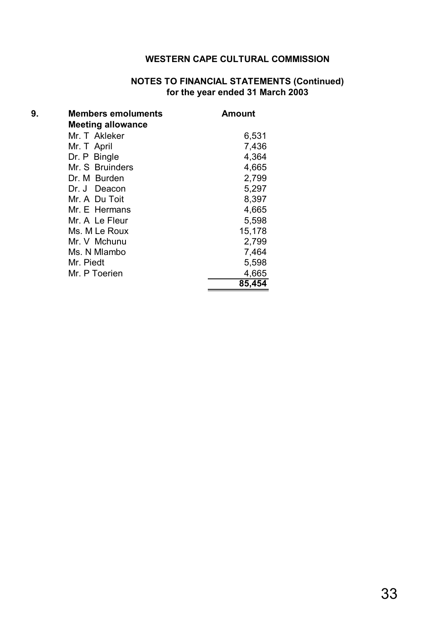## **NOTES TO FINANCIAL STATEMENTS (Continued) for the year ended 31 March 2003**

| 9. | <b>Members emoluments</b> | Amount |
|----|---------------------------|--------|
|    | <b>Meeting allowance</b>  |        |
|    | Mr. T Akleker             | 6,531  |
|    | Mr. T April               | 7,436  |
|    | Dr. P Bingle              | 4,364  |
|    | Mr. S Bruinders           | 4,665  |
|    | Dr. M Burden              | 2,799  |
|    | Dr. J Deacon              | 5,297  |
|    | Mr. A Du Toit             | 8,397  |
|    | Mr. E Hermans             | 4,665  |
|    | Mr. A Le Fleur            | 5,598  |
|    | Ms. M Le Roux             | 15,178 |
|    | Mr. V Mchunu              | 2,799  |
|    | Ms. N Mlambo              | 7,464  |
|    | Mr. Piedt                 | 5,598  |
|    | Mr. P Toerien             | 4,665  |
|    |                           | 85,454 |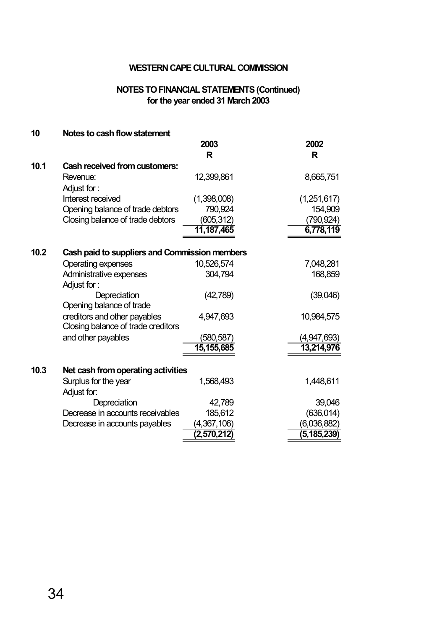### **NOTES TO FINANCIAL STATEMENTS (Continued) for the year ended 31 March 2003**

| 10   | Notes to cash flow statement                  |              |             |
|------|-----------------------------------------------|--------------|-------------|
|      |                                               | 2003         | 2002        |
|      |                                               | R            | R           |
| 10.1 | <b>Cash received from customers:</b>          |              |             |
|      | Revenue:                                      | 12,399,861   | 8,665,751   |
|      | Adjust for:                                   |              |             |
|      | Interest received                             | (1,398,008)  | (1,251,617) |
|      | Opening balance of trade debtors              | 790,924      | 154,909     |
|      | Closing balance of trade debtors              | (605, 312)   | 790,924)    |
|      |                                               | 11, 187, 465 | 6,778,119   |
|      |                                               |              |             |
| 10.2 | Cash paid to suppliers and Commission members |              |             |
|      | <b>Operating expenses</b>                     | 10,526,574   | 7,048,281   |
|      | Administrative expenses                       | 304,794      | 168,859     |
|      | Adjust for:                                   |              |             |
|      | Depreciation                                  | (42, 789)    | (39,046)    |
|      | Opening balance of trade                      |              |             |
|      | creditors and other payables                  | 4,947,693    | 10,984,575  |
|      | Closing balance of trade creditors            |              |             |
|      | and other payables                            | (580, 587)   | (4,947,693) |
|      |                                               | 15, 155, 685 | 13,214,976  |
|      |                                               |              |             |
| 10.3 | Net cash from operating activities            |              |             |
|      | Surplus for the year                          | 1,568,493    | 1,448,611   |
|      | Adjust for:                                   |              |             |
|      | Depreciation                                  | 42,789       | 39,046      |
|      | Decrease in accounts receivables              | 185,612      | (636, 014)  |
|      | Decrease in accounts payables                 | (4,367,106)  | (6,036,882) |
|      |                                               | (2,570,212)  | (5,185,239) |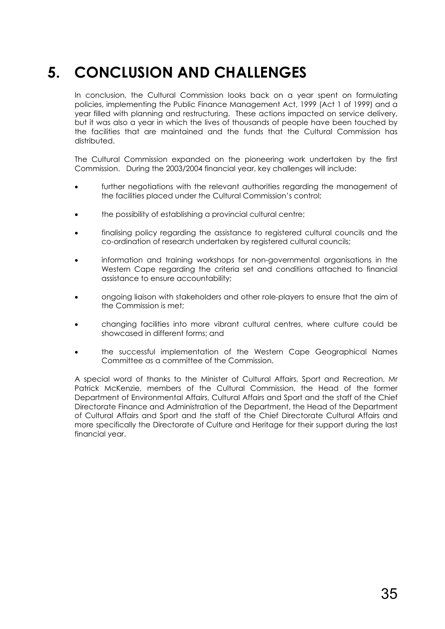## **5. CONCLUSION AND CHALLENGES**

In conclusion, the Cultural Commission looks back on a year spent on formulating policies, implementing the Public Finance Management Act, 1999 (Act 1 of 1999) and a year filled with planning and restructuring. These actions impacted on service delivery, but it was also a year in which the lives of thousands of people have been touched by the facilities that are maintained and the funds that the Cultural Commission has distributed.

The Cultural Commission expanded on the pioneering work undertaken by the first Commission. During the 2003/2004 financial year, key challenges will include:

- further negotiations with the relevant authorities regarding the management of the facilities placed under the Cultural Commission's control;
- the possibility of establishing a provincial cultural centre;
- finalising policy regarding the assistance to registered cultural councils and the co-ordination of research undertaken by registered cultural councils;
- information and training workshops for non-governmental organisations in the Western Cape regarding the criteria set and conditions attached to financial assistance to ensure accountability;
- ongoing liaison with stakeholders and other role-players to ensure that the aim of the Commission is met;
- changing facilities into more vibrant cultural centres, where culture could be showcased in different forms; and
- the successful implementation of the Western Cape Geographical Names Committee as a committee of the Commission.

A special word of thanks to the Minister of Cultural Affairs, Sport and Recreation, Mr Patrick McKenzie, members of the Cultural Commission, the Head of the former Department of Environmental Affairs, Cultural Affairs and Sport and the staff of the Chief Directorate Finance and Administration of the Department, the Head of the Department of Cultural Affairs and Sport and the staff of the Chief Directorate Cultural Affairs and more specifically the Directorate of Culture and Heritage for their support during the last financial year.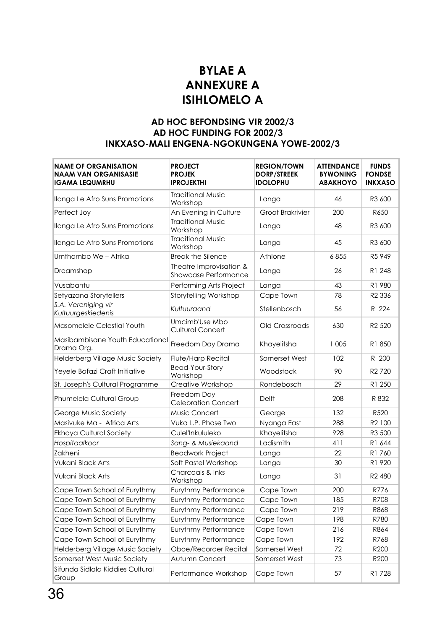## **BYLAE A ANNEXURE A ISIHLOMELO A**

## **AD HOC BEFONDSING VIR 2002/3 AD HOC FUNDING FOR 2002/3 INKXASO-MALI ENGENA-NGOKUNGENA YOWE-2002/3**

| <b>NAME OF ORGANISATION</b><br><b>NAAM VAN ORGANISASIE</b><br><b>IGAMA LEQUMRHU</b> | <b>PROJECT</b><br><b>PROJEK</b><br><b>IPROJEKTHI</b> | <b>REGION/TOWN</b><br><b>DORP/STREEK</b><br><b>IDOLOPHU</b> | <b>ATTENDANCE</b><br><b>BYWONING</b><br><b>ABAKHOYO</b> | <b>FUNDS</b><br><b>FONDSE</b><br><b>INKXASO</b> |
|-------------------------------------------------------------------------------------|------------------------------------------------------|-------------------------------------------------------------|---------------------------------------------------------|-------------------------------------------------|
| Ilanga Le Afro Suns Promotions                                                      | <b>Traditional Music</b><br>Workshop                 | Langa                                                       | 46                                                      | R3 600                                          |
| Perfect Joy                                                                         | An Evening in Culture                                | <b>Groot Brakrivier</b>                                     | 200                                                     | R650                                            |
| Ilanga Le Afro Suns Promotions                                                      | <b>Traditional Music</b><br>Workshop                 | Langa                                                       | 48                                                      | R3 600                                          |
| Ilanga Le Afro Suns Promotions                                                      | <b>Traditional Music</b><br>Workshop                 | Langa                                                       | 45                                                      | R3 600                                          |
| Umthombo We - Afrika                                                                | <b>Break the Silence</b>                             | Athlone                                                     | 6855                                                    | R5 949                                          |
| Dreamshop                                                                           | Theatre Improvisation &<br>Showcase Performance      | Langa                                                       | 26                                                      | R1 248                                          |
| Vusabantu                                                                           | Performing Arts Project                              | Langa                                                       | 43                                                      | R1 980                                          |
| Setyazana Storytellers                                                              | Storytelling Workshop                                | Cape Town                                                   | 78                                                      | R <sub>2</sub> 336                              |
| S.A. Vereniging vir<br>Kultuurgeskiedenis                                           | Kultuuraand                                          | Stellenbosch                                                | 56                                                      | R 224                                           |
| Masomelele Celestial Youth                                                          | Umcimb'Use Mbo<br><b>Cultural Concert</b>            | Old Crossroads                                              | 630                                                     | R <sub>2</sub> 520                              |
| Masibambisane Youth Educational<br>Drama Org.                                       | Freedom Day Drama                                    | Khayelitsha                                                 | 1 0 0 5                                                 | R1850                                           |
| Helderberg Village Music Society                                                    | Flute/Harp Recital                                   | Somerset West                                               | 102                                                     | R 200                                           |
| Yeyele Bafazi Craft Initiative                                                      | <b>Bead-Your-Story</b><br>Workshop                   | Woodstock                                                   | 90                                                      | R <sub>2</sub> 720                              |
| St. Joseph's Cultural Programme                                                     | Creative Workshop                                    | Rondebosch                                                  | 29                                                      | R1 250                                          |
| Phumelela Cultural Group                                                            | Freedom Day<br><b>Celebration Concert</b>            | <b>Delft</b>                                                | 208                                                     | R 832                                           |
| George Music Society                                                                | Music Concert                                        | George                                                      | 132                                                     | R520                                            |
| Masivuke Ma - Africa Arts                                                           | Vuka L.P. Phase Two                                  | Nyanga East                                                 | 288                                                     | R2 100                                          |
| <b>Ekhaya Cultural Society</b>                                                      | Culel'Inkululeko                                     | Khayelitsha                                                 | 928                                                     | R3 500                                          |
| Hospitaalkoor                                                                       | Sang- & Musiekaand                                   | Ladismith                                                   | 411                                                     | R1 644                                          |
| Zakheni                                                                             | <b>Beadwork Project</b>                              | Langa                                                       | 22                                                      | R1760                                           |
| Vukani Black Arts                                                                   | Soft Pastel Workshop                                 | Langa                                                       | 30                                                      | R1 920                                          |
| Vukani Black Arts                                                                   | Charcoals & Inks<br>Workshop                         | Langa                                                       | 31                                                      | R <sub>2</sub> 480                              |
| Cape Town School of Eurythmy                                                        | Eurythmy Performance                                 | Cape Town                                                   | 200                                                     | R776                                            |
| Cape Town School of Eurythmy                                                        | Eurythmy Performance                                 | Cape Town                                                   | 185                                                     | R708                                            |
| Cape Town School of Eurythmy                                                        | Eurythmy Performance                                 | Cape Town                                                   | 219                                                     | R868                                            |
| Cape Town School of Eurythmy                                                        | Eurythmy Performance                                 | Cape Town                                                   | 198                                                     | R780                                            |
| Cape Town School of Eurythmy                                                        | Eurythmy Performance                                 | Cape Town                                                   | 216                                                     | R864                                            |
| Cape Town School of Eurythmy                                                        | Eurythmy Performance                                 | Cape Town                                                   | 192                                                     | R768                                            |
| Helderberg Village Music Society                                                    | Oboe/Recorder Recital                                | Somerset West                                               | 72                                                      | R200                                            |
| Somerset West Music Society                                                         | Autumn Concert                                       | Somerset West                                               | 73                                                      | R200                                            |
| Sifunda Sidlala Kiddies Cultural<br>Group                                           | Performance Workshop                                 | Cape Town                                                   | 57                                                      | R1 728                                          |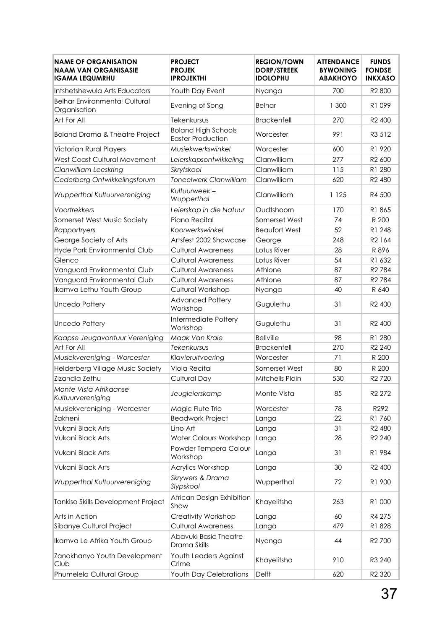| <b>NAME OF ORGANISATION</b><br><b>NAAM VAN ORGANISASIE</b><br><b>IGAMA LEQUMRHU</b> | <b>PROJECT</b><br><b>PROJEK</b><br><b>IPROJEKTHI</b>   | <b>REGION/TOWN</b><br><b>DORP/STREEK</b><br><b>IDOLOPHU</b> | <b>ATTENDANCE</b><br><b>BYWONING</b><br><b>ABAKHOYO</b> | <b>FUNDS</b><br><b>FONDSE</b><br><b>INKXASO</b> |
|-------------------------------------------------------------------------------------|--------------------------------------------------------|-------------------------------------------------------------|---------------------------------------------------------|-------------------------------------------------|
| Intshetshewula Arts Educators                                                       | Youth Day Event                                        | Nyanga                                                      | 700                                                     | R2 800                                          |
| <b>Belhar Environmental Cultural</b><br>Organisation                                | Evening of Song                                        | <b>Belhar</b>                                               | 1 300                                                   | R1 099                                          |
| Art For All                                                                         | Tekenkursus                                            | <b>Brackenfell</b>                                          | 270                                                     | R2 400                                          |
| Boland Drama & Theatre Project                                                      | <b>Boland High Schools</b><br><b>Easter Production</b> | Worcester                                                   | 991                                                     | R3 512                                          |
| Victorian Rural Players                                                             | Musiekwerkswinkel                                      | Worcester                                                   | 600                                                     | R1 920                                          |
| <b>West Coast Cultural Movement</b>                                                 | Leierskapsontwikkeling                                 | Clanwilliam                                                 | 277                                                     | R <sub>2</sub> 600                              |
| Clanwilliam Leeskring                                                               | Skryfskool                                             | Clanwilliam                                                 | 115                                                     | R1 280                                          |
| Cederberg Ontwikkelingsforum                                                        | <b>Toneelwerk Clanwilliam</b>                          | Clanwilliam                                                 | 620                                                     | R <sub>2</sub> 480                              |
| Wupperthal Kultuurvereniging                                                        | Kultuurweek -<br>Wupperthal                            | Clanwilliam                                                 | 1 1 2 5                                                 | R4 500                                          |
| Voortrekkers                                                                        | Leierskap in die Natuur                                | Oudtshoorn                                                  | 170                                                     | R1865                                           |
| Somerset West Music Society                                                         | Piano Recital                                          | Somerset West                                               | 74                                                      | R 200                                           |
| Rapportryers                                                                        | Koorwerkswinkel                                        | <b>Beaufort West</b>                                        | 52                                                      | R1 248                                          |
| George Society of Arts                                                              | Artsfest 2002 Showcase                                 | George                                                      | 248                                                     | R2 164                                          |
| Hyde Park Environmental Club                                                        | <b>Cultural Awareness</b>                              | Lotus River                                                 | 28                                                      | R 896                                           |
| Glenco                                                                              | <b>Cultural Awareness</b>                              | Lotus River                                                 | 54                                                      | R1 632                                          |
| Vanguard Environmental Club                                                         | <b>Cultural Awareness</b>                              | Athlone                                                     | 87                                                      | R <sub>2</sub> 784                              |
| Vanguard Environmental Club                                                         | <b>Cultural Awareness</b>                              | Athlone                                                     | 87                                                      | R <sub>2</sub> 784                              |
| Ikamva Lethu Youth Group                                                            | Cultural Workshop                                      | Nyanga                                                      | 40                                                      | R 640                                           |
| Uncedo Pottery                                                                      | <b>Advanced Pottery</b><br>Workshop                    | Gugulethu                                                   | 31                                                      | R <sub>2</sub> 400                              |
| <b>Uncedo Pottery</b>                                                               | Intermediate Pottery<br>Workshop                       | Gugulethu                                                   | 31                                                      | R <sub>2</sub> 400                              |
| Kaapse Jeugavontuur Vereniging                                                      | Maak Van Krale                                         | <b>Bellville</b>                                            | 98                                                      | R1 280                                          |
| Art For All                                                                         | Tekenkursus                                            | <b>Brackenfell</b>                                          | 270                                                     | R <sub>2</sub> 240                              |
| Musiekvereniging - Worcester                                                        | Klavieruitvoering                                      | Worcester                                                   | 71                                                      | R 200                                           |
| Helderberg Village Music Society                                                    | <b>Viola Recital</b>                                   | Somerset West                                               | 80                                                      | R 200                                           |
| Zizandla Zethu                                                                      | <b>Cultural Day</b>                                    | Mitchells Plain                                             | 530                                                     | R <sub>2</sub> 720                              |
| Monte Vista Afrikaanse<br>Kultuurvereniging                                         | Jeugleierskamp                                         | Monte Vista                                                 | 85                                                      | R <sub>2</sub> 272                              |
| Musiekvereniging - Worcester                                                        | Magic Flute Trio                                       | Worcester                                                   | 78                                                      | R292                                            |
| Zakheni                                                                             | <b>Beadwork Project</b>                                | Langa                                                       | 22                                                      | R1760                                           |
| Vukani Black Arts                                                                   | Lino Art                                               | Langa                                                       | 31                                                      | R <sub>2</sub> 480                              |
| Vukani Black Arts                                                                   | Water Colours Workshop                                 | Langa                                                       | 28                                                      | R <sub>2</sub> 240                              |
| Vukani Black Arts                                                                   | Powder Tempera Colour<br>Workshop                      | Langa                                                       | 31                                                      | R1 984                                          |
| Vukani Black Arts                                                                   | Acrylics Workshop                                      | Langa                                                       | 30                                                      | R <sub>2</sub> 400                              |
| Wupperthal Kultuurvereniging                                                        | Skrywers & Drama<br>Slypskool                          | Wupperthal                                                  | 72                                                      | R1 900                                          |
| Tankiso Skills Development Project                                                  | African Design Exhibition<br>Show                      | Khayelitsha                                                 | 263                                                     | R1 000                                          |
| Arts in Action                                                                      | Creativity Workshop                                    | Langa                                                       | 60                                                      | R4 275                                          |
| Sibanye Cultural Project                                                            | Cultural Awareness                                     | Langa                                                       | 479                                                     | R1 828                                          |
| Ikamva Le Afrika Youth Group                                                        | Abavuki Basic Theatre<br>Drama Skills                  | Nyanga                                                      | 44                                                      | R <sub>2</sub> 700                              |
| Zanokhanyo Youth Development<br>Club                                                | Youth Leaders Against<br>Crime                         | Khayelitsha                                                 | 910                                                     | R3 240                                          |
| Phumelela Cultural Group                                                            | <b>Youth Day Celebrations</b>                          | Delft                                                       | 620                                                     | R <sub>2</sub> 320                              |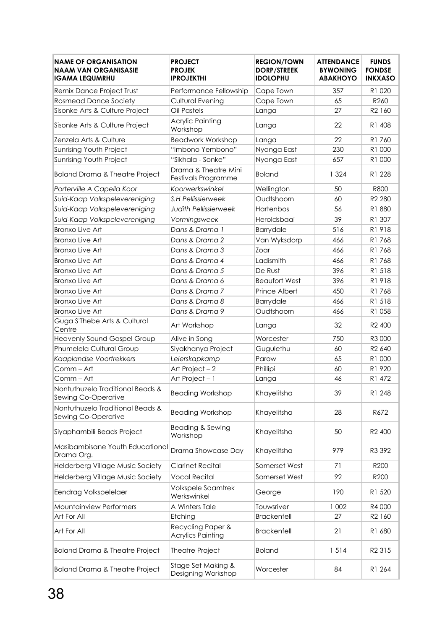| <b>NAME OF ORGANISATION</b><br><b>NAAM VAN ORGANISASIE</b><br><b>IGAMA LEQUMRHU</b> | <b>PROJECT</b><br><b>PROJEK</b><br><b>IPROJEKTHI</b> | <b>REGION/TOWN</b><br><b>DORP/STREEK</b><br><b>IDOLOPHU</b> | <b>ATTENDANCE</b><br><b>BYWONING</b><br><b>ABAKHOYO</b> | <b>FUNDS</b><br><b>FONDSE</b><br><b>INKXASO</b> |
|-------------------------------------------------------------------------------------|------------------------------------------------------|-------------------------------------------------------------|---------------------------------------------------------|-------------------------------------------------|
| Remix Dance Project Trust                                                           | Performance Fellowship                               | Cape Town                                                   | 357                                                     | R1 020                                          |
| <b>Rosmead Dance Society</b>                                                        | Cultural Evening                                     | Cape Town                                                   | 65                                                      | R260                                            |
| Sisonke Arts & Culture Project                                                      | Oil Pastels                                          | Langa                                                       | 27                                                      | R2 160                                          |
| Sisonke Arts & Culture Project                                                      | <b>Acrylic Painting</b><br>Workshop                  | Langa                                                       | 22                                                      | R1 408                                          |
| Zenzela Arts & Culture                                                              | <b>Beadwork Workshop</b>                             | Langa                                                       | 22                                                      | R1760                                           |
| Sunrising Youth Project                                                             | "Imbono Yembono"                                     | Nyanga East                                                 | 230                                                     | R1 000                                          |
| Sunrising Youth Project                                                             | "Sikhala - Sonke"                                    | Nyanga East                                                 | 657                                                     | R1 000                                          |
| Boland Drama & Theatre Project                                                      | Drama & Theatre Mini<br>Festivals Programme          | <b>Boland</b>                                               | 1 3 2 4                                                 | R1 228                                          |
| Porterville A Capella Koor                                                          | Koorwerkswinkel                                      | Wellington                                                  | 50                                                      | <b>R800</b>                                     |
| Suid-Kaap Volkspelevereniging                                                       | S.H Pellissierweek                                   | Oudtshoorn                                                  | 60                                                      | R <sub>2</sub> 280                              |
| Suid-Kaap Volkspelevereniging                                                       | <b>Judith Pellissierweek</b>                         | Hartenbos                                                   | 56                                                      | R1 880                                          |
| Suid-Kaap Volkspelevereniging                                                       | Vormingsweek                                         | Heroldsbaai                                                 | 39                                                      | R1 307                                          |
| <b>Bronxo Live Art</b>                                                              | Dans & Drama 1                                       | Barrydale                                                   | 516                                                     | R1918                                           |
| <b>Bronxo Live Art</b>                                                              | Dans & Drama 2                                       | Van Wyksdorp                                                | 466                                                     | R1768                                           |
| <b>Bronxo Live Art</b>                                                              | Dans & Drama 3                                       | Zoar                                                        | 466                                                     | R1768                                           |
| <b>Bronxo Live Art</b>                                                              | Dans & Drama 4                                       | Ladismith                                                   | 466                                                     | R1768                                           |
| <b>Bronxo Live Art</b>                                                              | Dans & Drama 5                                       | De Rust                                                     | 396                                                     | R1 518                                          |
| <b>Bronxo Live Art</b>                                                              | Dans & Drama 6                                       | <b>Beaufort West</b>                                        | 396                                                     | R1918                                           |
| <b>Bronxo Live Art</b>                                                              | Dans & Drama 7                                       | Prince Albert                                               | 450                                                     | R1768                                           |
| <b>Bronxo Live Art</b>                                                              | Dans & Drama 8                                       | Barrydale                                                   | 466                                                     | R1 518                                          |
| <b>Bronxo Live Art</b>                                                              | Dans & Drama 9                                       | Oudtshoorn                                                  | 466                                                     | R1 058                                          |
| Guga S'Thebe Arts & Cultural<br>Centre                                              | Art Workshop                                         | Langa                                                       | 32                                                      | R <sub>2</sub> 400                              |
| <b>Heavenly Sound Gospel Group</b>                                                  | Alive in Song                                        | Worcester                                                   | 750                                                     | R3 000                                          |
| Phumelela Cultural Group                                                            | Siyakhanya Project                                   | Gugulethu                                                   | 60                                                      | R <sub>2</sub> 640                              |
| Kaaplandse Voortrekkers                                                             | Leierskapkamp                                        | Parow                                                       | 65                                                      | R1 000                                          |
| Comm - Art                                                                          | Art Project-2                                        | Phillipi                                                    | 60                                                      | R1 920                                          |
| Comm - Art                                                                          | Art Project - 1                                      | Langa                                                       | 46                                                      | R1 472                                          |
| Nontuthuzelo Traditional Beads &<br>Sewing Co-Operative                             | <b>Beading Workshop</b>                              | Khayelitsha                                                 | 39                                                      | R1 248                                          |
| Nontuthuzelo Traditional Beads &<br>Sewing Co-Operative                             | <b>Beading Workshop</b>                              | Khayelitsha                                                 | 28                                                      | R672                                            |
| Siyaphambili Beads Project                                                          | Beading & Sewing<br>Workshop                         | Khayelitsha                                                 | 50                                                      | R <sub>2</sub> 400                              |
| Masibambisane Youth Educational<br>Drama Org.                                       | Drama Showcase Day                                   | Khayelitsha                                                 | 979                                                     | R3 392                                          |
| Helderberg Village Music Society                                                    | <b>Clarinet Recital</b>                              | Somerset West                                               | 71                                                      | R200                                            |
| Helderberg Village Music Society                                                    | <b>Vocal Recital</b>                                 | Somerset West                                               | 92                                                      | R200                                            |
| Eendrag Volkspelelaer                                                               | Volkspele Saamtrek<br>Werkswinkel                    | George                                                      | 190                                                     | R1 520                                          |
| <b>Mountainview Performers</b>                                                      | A Winters Tale                                       | Touwsriver                                                  | 1 0 0 2                                                 | R4 000                                          |
| Art For All                                                                         | Etching                                              | <b>Brackenfell</b>                                          | 27                                                      | R2 160                                          |
| Art For All                                                                         | Recycling Paper &<br><b>Acrylics Painting</b>        | <b>Brackenfell</b>                                          | 21                                                      | R1 680                                          |
| <b>Boland Drama &amp; Theatre Project</b>                                           | Theatre Project                                      | <b>Boland</b>                                               | 1514                                                    | R <sub>2</sub> 315                              |
| Boland Drama & Theatre Project                                                      | Stage Set Making &<br>Designing Workshop             | Worcester                                                   | 84                                                      | R1 264                                          |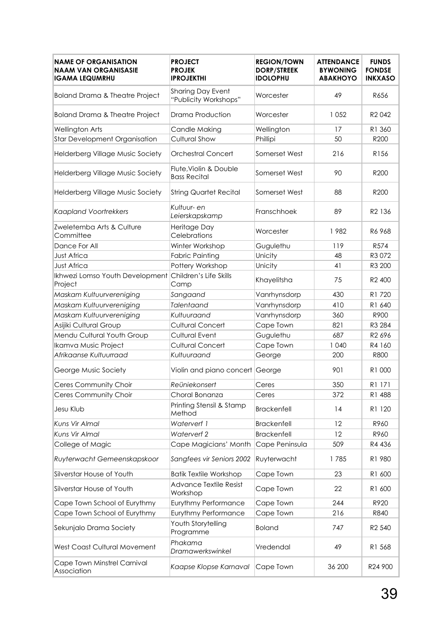| <b>NAME OF ORGANISATION</b><br><b>NAAM VAN ORGANISASIE</b><br>IGAMA LEQUMRHU | <b>PROJECT</b><br><b>PROJEK</b><br><b>IPROJEKTHI</b> | <b>REGION/TOWN</b><br><b>DORP/STREEK</b><br><b>IDOLOPHU</b> | <b>ATTENDANCE</b><br><b>BYWONING</b><br><b>ABAKHOYO</b> | <b>FUNDS</b><br><b>FONDSE</b><br><b>INKXASO</b> |
|------------------------------------------------------------------------------|------------------------------------------------------|-------------------------------------------------------------|---------------------------------------------------------|-------------------------------------------------|
| <b>Boland Drama &amp; Theatre Project</b>                                    | <b>Sharing Day Event</b><br>"Publicity Workshops"    | Worcester                                                   | 49                                                      | R656                                            |
| <b>Boland Drama &amp; Theatre Project</b>                                    | Drama Production                                     | Worcester                                                   | 1 0 5 2                                                 | R <sub>2</sub> 042                              |
| Wellington Arts                                                              | Candle Making                                        | Wellington                                                  | 17                                                      | R1 360                                          |
| <b>Star Development Organisation</b>                                         | <b>Cultural Show</b>                                 | Phillipi                                                    | 50                                                      | R200                                            |
| <b>Helderberg Village Music Society</b>                                      | <b>Orchestral Concert</b>                            | Somerset West                                               | 216                                                     | R156                                            |
| Helderberg Village Music Society                                             | Flute, Violin & Double<br><b>Bass Recital</b>        | Somerset West                                               | 90                                                      | R200                                            |
| Helderberg Village Music Society                                             | <b>String Quartet Recital</b>                        | Somerset West                                               | 88                                                      | R200                                            |
| <b>Kaapland Voortrekkers</b>                                                 | Kultuur- en<br>Leierskapskamp                        | Franschhoek                                                 | 89                                                      | R <sub>2</sub> 136                              |
| Zweletemba Arts & Culture<br>Committee                                       | Heritage Day<br>Celebrations                         | Worcester                                                   | 1982                                                    | R6 968                                          |
| Dance For All                                                                | Winter Workshop                                      | Gugulethu                                                   | 119                                                     | R574                                            |
| <b>Just Africa</b>                                                           | <b>Fabric Painting</b>                               | Unicity                                                     | 48                                                      | R3072                                           |
| Just Africa                                                                  | Pottery Workshop                                     | Unicity                                                     | 41                                                      | R3 200                                          |
| Ikhwezi Lomso Youth Development<br>Project                                   | Children's Life Skills<br>Camp                       | Khayelitsha                                                 | 75                                                      | R <sub>2</sub> 400                              |
| Maskam Kultuurvereniging                                                     | Sangaand                                             | Vanrhynsdorp                                                | 430                                                     | R1 720                                          |
| Maskam Kultuurvereniging                                                     | <b>Talentaand</b>                                    | Vanrhynsdorp                                                | 410                                                     | R1 640                                          |
| Maskam Kultuurvereniging                                                     | Kultuuraand                                          | Vanrhynsdorp                                                | 360                                                     | R900                                            |
| Asijiki Cultural Group                                                       | <b>Cultural Concert</b>                              | Cape Town                                                   | 821                                                     | R3 284                                          |
| Mendu Cultural Youth Group                                                   | <b>Cultural Event</b>                                | Gugulethu                                                   | 687                                                     | R2 696                                          |
| Ikamva Music Project                                                         | <b>Cultural Concert</b>                              | Cape Town                                                   | 1 040                                                   | R4 160                                          |
| Afrikaanse Kultuurraad                                                       | Kultuuraand                                          | George                                                      | 200                                                     | <b>R800</b>                                     |
| George Music Society                                                         | Violin and piano concert George                      |                                                             | 901                                                     | R1 000                                          |
| Ceres Community Choir                                                        | Reüniekonsert                                        | Ceres                                                       | 350                                                     | R1 171                                          |
| Ceres Community Choir                                                        | Choral Bonanza                                       | Ceres                                                       | 372                                                     | R1 488                                          |
| Jesu Klub                                                                    | Printing Stensil & Stamp<br>Method                   | <b>Brackenfell</b>                                          | 14                                                      | R1 120                                          |
| Kuns Vir Almal                                                               | Waterverf 1                                          | <b>Brackenfell</b>                                          | 12                                                      | R960                                            |
| Kuns Vir Almal                                                               | Waterverf 2                                          | <b>Brackenfell</b>                                          | 12                                                      | R960                                            |
| College of Magic                                                             | Cape Magicians' Month                                | Cape Peninsula                                              | 509                                                     | R4 436                                          |
| Ruyterwacht Gemeenskapskoor                                                  | Sangfees vir Seniors 2002                            | Ruyterwacht                                                 | 1785                                                    | R1 980                                          |
| Silverstar House of Youth                                                    | <b>Batik Textile Workshop</b>                        | Cape Town                                                   | 23                                                      | R1 600                                          |
| Silverstar House of Youth                                                    | <b>Advance Textile Resist</b><br>Workshop            | Cape Town                                                   | 22                                                      | R1 600                                          |
| Cape Town School of Eurythmy                                                 | Eurythmy Performance                                 | Cape Town                                                   | 244                                                     | R920                                            |
| Cape Town School of Eurythmy                                                 | Eurythmy Performance                                 | Cape Town                                                   | 216                                                     | R840                                            |
| Sekunjalo Drama Society                                                      | Youth Storytelling<br>Programme                      | <b>Boland</b>                                               | 747                                                     | R <sub>2</sub> 540                              |
| West Coast Cultural Movement                                                 | Phakama<br>Dramawerkswinkel                          | Vredendal                                                   | 49                                                      | R1 568                                          |
| Cape Town Minstrel Carnival<br>Association                                   | Kaapse Klopse Karnaval                               | Cape Town                                                   | 36 200                                                  | R24 900                                         |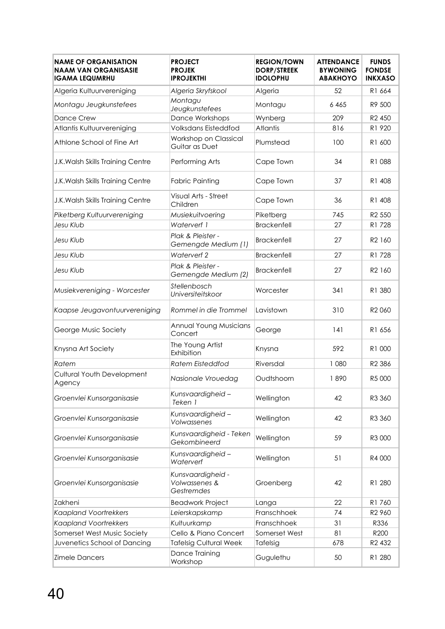| <b>NAME OF ORGANISATION</b><br><b>NAAM VAN ORGANISASIE</b><br><b>IGAMA LEQUMRHU</b> | <b>PROJECT</b><br><b>PROJEK</b><br><b>IPROJEKTHI</b> | <b>REGION/TOWN</b><br><b>DORP/STREEK</b><br><b>IDOLOPHU</b> | <b>ATTENDANCE</b><br><b>BYWONING</b><br><b>ABAKHOYO</b> | <b>FUNDS</b><br><b>FONDSE</b><br><b>INKXASO</b> |
|-------------------------------------------------------------------------------------|------------------------------------------------------|-------------------------------------------------------------|---------------------------------------------------------|-------------------------------------------------|
| Algeria Kultuurvereniging                                                           | Algeria Skryfskool                                   | Algeria                                                     | 52                                                      | R1 664                                          |
| Montagu Jeugkunstefees                                                              | Montagu<br>Jeugkunstefees                            | Montagu                                                     | 6465                                                    | R9 500                                          |
| Dance Crew                                                                          | Dance Workshops                                      | Wynberg                                                     | 209                                                     | R <sub>2</sub> 450                              |
| Atlantis Kultuurvereniging                                                          | Volksdans Eisteddfod                                 | <b>Atlantis</b>                                             | 816                                                     | R1 920                                          |
| Athlone School of Fine Art                                                          | Workshop on Classical<br>Guitar as Duet              | Plumstead                                                   | 100                                                     | R1 600                                          |
| J.K. Walsh Skills Training Centre                                                   | Performing Arts                                      | Cape Town                                                   | 34                                                      | R1088                                           |
| J.K. Walsh Skills Training Centre                                                   | <b>Fabric Painting</b>                               | Cape Town                                                   | 37                                                      | R1 408                                          |
| J.K. Walsh Skills Training Centre                                                   | Visual Arts - Street<br>Children                     | Cape Town                                                   | 36                                                      | R1 408                                          |
| Piketberg Kultuurvereniging                                                         | Musiekuitvoering                                     | Piketberg                                                   | 745                                                     | R <sub>2</sub> 550                              |
| Jesu Klub                                                                           | Waterverf 1                                          | <b>Brackenfell</b>                                          | 27                                                      | R1 728                                          |
| Jesu Klub                                                                           | Plak & Pleister -<br>Gemengde Medium (1)             | <b>Brackenfell</b>                                          | 27                                                      | R <sub>2</sub> 160                              |
| Jesu Klub                                                                           | Waterverf 2                                          | <b>Brackenfell</b>                                          | 27                                                      | R1728                                           |
| Jesu Klub                                                                           | Plak & Pleister -<br>Gemengde Medium (2)             | <b>Brackenfell</b>                                          | 27                                                      | R <sub>2</sub> 160                              |
| Musiekvereniging - Worcester                                                        | Stellenbosch<br>Universiteitskoor                    | Worcester                                                   | 341                                                     | R1 380                                          |
| Kaapse Jeugavontuurvereniging                                                       | Rommel in die Trommel                                | Lavistown                                                   | 310                                                     | R <sub>2</sub> 060                              |
| George Music Society                                                                | <b>Annual Young Musicians</b><br>Concert             | George                                                      | 141                                                     | R1 656                                          |
| Knysna Art Society                                                                  | The Young Artist<br>Exhibition                       | Knysna                                                      | 592                                                     | R1 000                                          |
| Ratem                                                                               | <b>Ratem Eisteddfod</b>                              | Riversdal                                                   | 1 0 8 0                                                 | R <sub>2</sub> 386                              |
| <b>Cultural Youth Development</b><br>Agency                                         | Nasionale Vrouedag                                   | Oudtshoorn                                                  | 1890                                                    | R5 000                                          |
| Groenvlei Kunsorganisasie                                                           | Kunsvaardigheid -<br>Teken 1                         | Wellington                                                  | 42                                                      | R3 360                                          |
| Groenvlei Kunsorganisasie                                                           | Kunsvaardigheid -<br>Volwassenes                     | Wellington                                                  | 42                                                      | R3 360                                          |
| Groenvlei Kunsorganisasie                                                           | Kunsvaardigheid - Teken<br>Gekombineerd              | Wellington                                                  | 59                                                      | R3 000                                          |
| Groenvlei Kunsorganisasie                                                           | Kunsvaardigheid -<br>Waterverf                       | Wellington                                                  | 51                                                      | R4 000                                          |
| Groenvlei Kunsorganisasie                                                           | Kunsvaardigheid -<br>Volwassenes &<br>Gestremdes     | Groenberg                                                   | 42                                                      | R1 280                                          |
| Zakheni                                                                             | <b>Beadwork Project</b>                              | Langa                                                       | 22                                                      | R1760                                           |
| <b>Kaapland Voortrekkers</b>                                                        | Leierskapskamp                                       | Franschhoek                                                 | 74                                                      | R <sub>2</sub> 960                              |
| <b>Kaapland Voortrekkers</b>                                                        | Kultuurkamp                                          | Franschhoek                                                 | 31                                                      | R336                                            |
| Somerset West Music Society                                                         | Cello & Piano Concert                                | Somerset West                                               | 81                                                      | R200                                            |
| Juvenetics School of Dancing                                                        | <b>Tafelsig Cultural Week</b>                        | Tafelsig                                                    | 678                                                     | R <sub>2</sub> 432                              |
| <b>Zimele Dancers</b>                                                               | Dance Training<br>Workshop                           | Gugulethu                                                   | 50                                                      | R1 280                                          |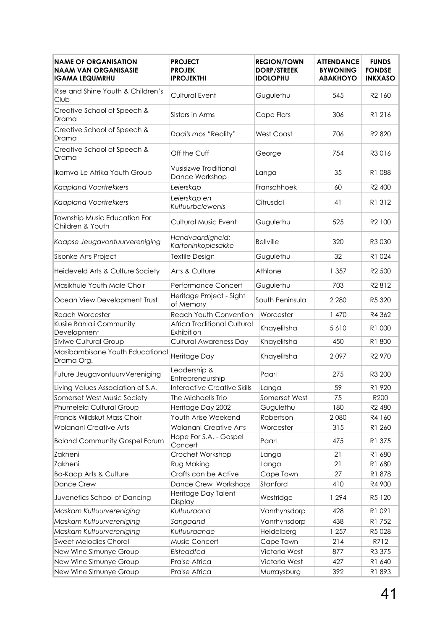| <b>NAME OF ORGANISATION</b><br><b>NAAM VAN ORGANISASIE</b><br><b>IGAMA LEQUMRHU</b> | <b>PROJECT</b><br><b>PROJEK</b><br><b>IPROJEKTHI</b> | <b>REGION/TOWN</b><br><b>DORP/STREEK</b><br><b>IDOLOPHU</b> | <b>ATTENDANCE</b><br><b>BYWONING</b><br><b>ABAKHOYO</b> | <b>FUNDS</b><br><b>FONDSE</b><br><b>INKXASO</b> |
|-------------------------------------------------------------------------------------|------------------------------------------------------|-------------------------------------------------------------|---------------------------------------------------------|-------------------------------------------------|
| Rise and Shine Youth & Children's<br>Club                                           | <b>Cultural Event</b>                                | Gugulethu                                                   | 545                                                     | R <sub>2</sub> 160                              |
| Creative School of Speech &<br>Drama                                                | Sisters in Arms                                      | Cape Flats                                                  | 306                                                     | R1 216                                          |
| Creative School of Speech &<br>Drama                                                | Daai's mos "Reality"                                 | <b>West Coast</b>                                           | 706                                                     | R <sub>2</sub> 820                              |
| Creative School of Speech &<br>Drama                                                | Off the Cuff                                         | George                                                      | 754                                                     | R3016                                           |
| Ikamva Le Afrika Youth Group                                                        | <b>Vusisizwe Traditional</b><br>Dance Workshop       | Langa                                                       | 35                                                      | R1 088                                          |
| <b>Kaapland Voortrekkers</b>                                                        | Leierskap                                            | Franschhoek                                                 | 60                                                      | R <sub>2</sub> 400                              |
| <b>Kaapland Voortrekkers</b>                                                        | Leierskap en<br>Kultuurbelewenis                     | Citrusdal                                                   | 41                                                      | R1 312                                          |
| Township Music Education For<br>Children & Youth                                    | <b>Cultural Music Event</b>                          | Gugulethu                                                   | 525                                                     | R <sub>2</sub> 100                              |
| Kaapse Jeugavontuurvereniging                                                       | Handvaardigheid:<br>Kartoninkopiesakke               | <b>Bellville</b>                                            | 320                                                     | R3 030                                          |
| Sisonke Arts Project                                                                | <b>Textile Design</b>                                | Gugulethu                                                   | 32                                                      | R1 024                                          |
| Heideveld Arts & Culture Society                                                    | Arts & Culture                                       | Athlone                                                     | 1 3 5 7                                                 | R <sub>2</sub> 500                              |
| Masikhule Youth Male Choir                                                          | Performance Concert                                  | Gugulethu                                                   | 703                                                     | R2812                                           |
| Ocean View Development Trust                                                        | Heritage Project - Sight<br>of Memory                | South Peninsula                                             | 2 2 8 0                                                 | R5 320                                          |
| <b>Reach Worcester</b>                                                              | Reach Youth Convention                               | Worcester                                                   | 1 470                                                   | R4 362                                          |
| Kusile Bahlali Community<br>Development                                             | Africa Traditional Cultural<br>Exhibition            | Khayelitsha                                                 | 5610                                                    | R1 000                                          |
| <b>Siviwe Cultural Group</b>                                                        | <b>Cultural Awareness Day</b>                        | Khayelitsha                                                 | 450                                                     | R1 800                                          |
| Masibambisane Youth Educational<br>Drama Org.                                       | Heritage Day                                         | Khayelitsha                                                 | 2097                                                    | R <sub>2</sub> 970                              |
| Future JeugavontuurvVereniging                                                      | Leadership &<br>Entrepreneurship                     | Paarl                                                       | 275                                                     | R3 200                                          |
| Living Values Association of S.A                                                    | <b>Interactive Creative Skills</b>                   | Langa                                                       | 59                                                      | R1 920                                          |
| Somerset West Music Society                                                         | The Michaelis Trio                                   | Somerset West                                               | 75                                                      | R200                                            |
| Phumelela Cultural Group                                                            | Heritage Day 2002                                    | Gugulethu                                                   | 180                                                     | R <sub>2</sub> 480                              |
| Francis Wildskut Mass Choir                                                         | Youth Arise Weekend                                  | Robertson                                                   | 2080                                                    | R4 160                                          |
| Wolanani Creative Arts                                                              | Wolanani Creative Arts                               | Worcester                                                   | 315                                                     | R1 260                                          |
| <b>Boland Community Gospel Forum</b>                                                | Hope For S.A. - Gospel<br>Concert                    | Paarl                                                       | 475                                                     | R1 375                                          |
| Zakheni                                                                             | Crochet Workshop                                     | Langa                                                       | 21                                                      | R1 680                                          |
| Zakheni                                                                             | Rug Making                                           | Langa                                                       | 21                                                      | R1 680                                          |
| <b>Bo-Kaap Arts &amp; Culture</b>                                                   | Crafts can be Active                                 | Cape Town                                                   | 27                                                      | R1878                                           |
| <b>Dance Crew</b>                                                                   | Dance Crew Workshops                                 | Stanford                                                    | 410                                                     | R4 900                                          |
| Juvenetics School of Dancing                                                        | Heritage Day Talent<br>Display                       | Westridge                                                   | 1 2 9 4                                                 | R5 120                                          |
| Maskam Kultuurvereniging                                                            | Kultuuraand                                          | Vanrhynsdorp                                                | 428                                                     | R1 091                                          |
| Maskam Kultuurvereniging                                                            | Sangaand                                             | Vanrhynsdorp                                                | 438                                                     | R1 752                                          |
| Maskam Kultuurvereniging                                                            | Kultuuraande                                         | Heidelberg                                                  | 1 257                                                   | R5028                                           |
| <b>Sweet Melodies Choral</b>                                                        | Music Concert                                        | Cape Town                                                   | 214                                                     | R712                                            |
| New Wine Simunye Group                                                              | Eisteddfod                                           | Victoria West                                               | 877                                                     | R3 375                                          |
| New Wine Simunye Group                                                              | Praise Africa                                        | Victoria West                                               | 427                                                     | R1 640                                          |
| New Wine Simunye Group                                                              | Praise Africa                                        | Murraysburg                                                 | 392                                                     | R1 893                                          |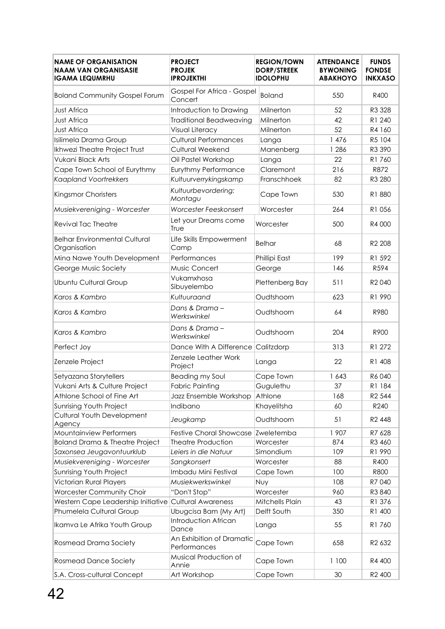| <b>NAME OF ORGANISATION</b><br><b>NAAM VAN ORGANISASIE</b><br><b>IGAMA LEQUMRHU</b> | <b>PROJECT</b><br><b>PROJEK</b><br><b>IPROJEKTHI</b> | <b>REGION/TOWN</b><br><b>DORP/STREEK</b><br><b>IDOLOPHU</b> | <b>ATTENDANCE</b><br><b>BYWONING</b><br><b>ABAKHOYO</b> | <b>FUNDS</b><br><b>FONDSE</b><br><b>INKXASO</b> |
|-------------------------------------------------------------------------------------|------------------------------------------------------|-------------------------------------------------------------|---------------------------------------------------------|-------------------------------------------------|
| <b>Boland Community Gospel Forum</b>                                                | Gospel For Africa - Gospel<br>Concert                | <b>Boland</b>                                               | 550                                                     | R400                                            |
| <b>Just Africa</b>                                                                  | Introduction to Drawing                              | Milnerton                                                   | 52                                                      | R3 328                                          |
| <b>Just Africa</b>                                                                  | <b>Traditional Beadweaving</b>                       | Milnerton                                                   | 42                                                      | R1 240                                          |
| <b>Just Africa</b>                                                                  | Visual Literacy                                      | Milnerton                                                   | 52                                                      | R4 160                                          |
| Isilimela Drama Group                                                               | <b>Cultural Performances</b>                         | Langa                                                       | 1 476                                                   | R5 104                                          |
| Ikhwezi Theatre Project Trust                                                       | Cultural Weekend                                     | Manenberg                                                   | 1 2 8 6                                                 | R3 390                                          |
| Vukani Black Arts                                                                   | Oil Pastel Workshop                                  | Langa                                                       | 22                                                      | R1760                                           |
| Cape Town School of Eurythmy                                                        | <b>Eurythmy Performance</b>                          | Claremont                                                   | 216                                                     | R872                                            |
| <b>Kaapland Voortrekkers</b>                                                        | Kultuurverrykingskamp                                | Franschhoek                                                 | 82                                                      | R3 280                                          |
| Kingsmor Choristers                                                                 | Kultuurbevordering:<br>Montagu                       | Cape Town                                                   | 530                                                     | R1 880                                          |
| Musiekvereniging - Worcester                                                        | Worcester Feeskonsert                                | Worcester                                                   | 264                                                     | R1 056                                          |
| Revival Tac Theatre                                                                 | Let your Dreams come<br>True                         | Worcester                                                   | 500                                                     | R4 000                                          |
| <b>Belhar Environmental Cultural</b><br>Organisation                                | Life Skills Empowerment<br>Camp                      | <b>Belhar</b>                                               | 68                                                      | R <sub>2</sub> 208                              |
| Mina Nawe Youth Development                                                         | Performances                                         | Phillipi East                                               | 199                                                     | R1 592                                          |
| George Music Society                                                                | Music Concert                                        | George                                                      | 146                                                     | R594                                            |
| Ubuntu Cultural Group                                                               | Vukamxhosa<br>Sibuyelembo                            | Plettenberg Bay                                             | 511                                                     | R <sub>2</sub> 040                              |
| Karos & Kambro                                                                      | Kultuuraand                                          | Oudtshoorn                                                  | 623                                                     | R1 990                                          |
| Karos & Kambro                                                                      | Dans & Drama-<br>Werkswinkel                         | Oudtshoorn                                                  | 64                                                      | R980                                            |
| Karos & Kambro                                                                      | Dans & Drama –<br>Werkswinkel                        | Oudtshoorn                                                  | 204                                                     | R900                                            |
| Perfect Joy                                                                         | Dance With A Difference Calitzdorp                   |                                                             | 313                                                     | R1 272                                          |
| Zenzele Project                                                                     | Zenzele Leather Work<br>Project                      | Langa                                                       | 22                                                      | R1 408                                          |
| Setyazana Storytellers                                                              | Beading my Soul                                      | Cape Town                                                   | 1 643                                                   | R6 040                                          |
| Vukani Arts & Culture Project                                                       | <b>Fabric Painting</b>                               | Gugulethu                                                   | 37                                                      | R1 184                                          |
| Athlone School of Fine Art                                                          | Jazz Ensemble Workshop                               | Athlone                                                     | 168                                                     | R <sub>2</sub> 544                              |
| Sunrising Youth Project                                                             | Indibano                                             | Khayelitsha                                                 | 60                                                      | R240                                            |
| Cultural Youth Development<br>Agency                                                | Jeugkamp                                             | Oudtshoorn                                                  | 51                                                      | R <sub>2</sub> 448                              |
| Mountainview Performers                                                             | <b>Festive Choral Showcase</b>                       | Zweletemba                                                  | 1 907                                                   | R7 628                                          |
| Boland Drama & Theatre Project                                                      | <b>Theatre Production</b>                            | Worcester                                                   | 874                                                     | R3 460                                          |
| Saxonsea Jeugavontuurklub                                                           | Leiers in die Natuur                                 | Simondium                                                   | 109                                                     | R1 990                                          |
| Musiekvereniging - Worcester                                                        | Sangkonsert                                          | Worcester                                                   | 88                                                      | R400                                            |
| Sunrising Youth Project                                                             | Imbadu Mini Festival                                 | Cape Town                                                   | 100                                                     | <b>R800</b>                                     |
| Victorian Rural Players                                                             | Musiekwerkswinkel                                    | Nuy                                                         | 108                                                     | R7 040                                          |
| Worcester Community Choir                                                           | "Don't Stop"                                         | Worcester                                                   | 960                                                     | R3 840                                          |
| Western Cape Leadership Initiative Cultural Awareness                               |                                                      | Mitchells Plain                                             | 43                                                      | R1 376                                          |
| Phumelela Cultural Group                                                            | Ubugcisa Bam (My Art)                                | Delft South                                                 | 350                                                     | R1 400                                          |
| Ikamva Le Afrika Youth Group                                                        | Introduction African<br>Dance                        | Langa                                                       | 55                                                      | R1760                                           |
| Rosmead Drama Society                                                               | An Exhibition of Dramatic<br>Performances            | Cape Town                                                   | 658                                                     | R <sub>2</sub> 632                              |
| <b>Rosmead Dance Society</b>                                                        | Musical Production of<br>Annie                       | Cape Town                                                   | 1 100                                                   | R4 400                                          |
| S.A. Cross-cultural Concept                                                         | Art Workshop                                         | Cape Town                                                   | 30                                                      | R2 400                                          |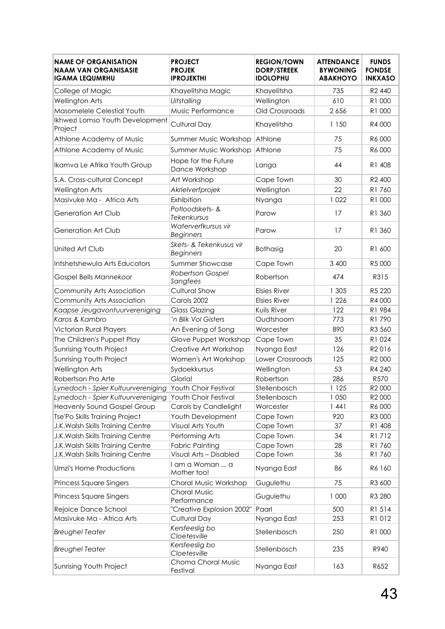| <b>NAME OF ORGANISATION</b><br><b>NAAM VAN ORGANISASIE</b><br><b>IGAMA LEQUMRHU</b> | <b>PROJECT</b><br><b>PROJEK</b><br><b>IPROJEKTHI</b>     | <b>REGION/TOWN</b><br><b>DORP/STREEK</b><br><b>IDOLOPHU</b> | <b>ATTENDANCE</b><br><b>BYWONING</b><br><b>ABAKHOYO</b> | <b>FUNDS</b><br><b>FONDSE</b><br><b>INKXASO</b> |
|-------------------------------------------------------------------------------------|----------------------------------------------------------|-------------------------------------------------------------|---------------------------------------------------------|-------------------------------------------------|
| College of Magic                                                                    | Khayelitsha Magic                                        | Khayelitsha                                                 | 735                                                     | R <sub>2</sub> 440                              |
| <b>Wellington Arts</b>                                                              | Uitstalling                                              | Wellington                                                  | 610                                                     | R1 000                                          |
| Masomelele Celestial Youth                                                          | Music Performance                                        | Old Crossroads                                              | 2 6 5 6                                                 | R1 000                                          |
| Ikhwezi Lomso Youth Development<br>Project                                          | Cultural Day                                             | Khayelitsha                                                 | 1 150                                                   | R4 000                                          |
| Athlone Academy of Music                                                            | Summer Music Workshop                                    | Athlone                                                     | 75                                                      | R6 000                                          |
| Athlone Academy of Music                                                            | Summer Music Workshop                                    | Athlone                                                     | 75                                                      | R6 000                                          |
| Ikamva Le Afrika Youth Group                                                        | Hope for the Future<br>Dance Workshop                    | Langa                                                       | 44                                                      | R1 408                                          |
| S.A. Cross-cultural Concept                                                         | Art Workshop                                             | Cape Town                                                   | 30                                                      | R <sub>2</sub> 400                              |
| <b>Wellington Arts</b>                                                              | Akrielverfprojek                                         | Wellington                                                  | 22                                                      | R1760                                           |
| Masivuke Ma - Africa Arts                                                           | Exhibition                                               | Nyanga                                                      | 1 0 2 2                                                 | R1 000                                          |
| Generation Art Club                                                                 | Potloodskets- &<br>Tekenkursus                           | Parow                                                       | 17                                                      | R1 360                                          |
| Generation Art Club                                                                 | Waterverfkursus vir<br><b>Beginners</b>                  | Parow                                                       | 17                                                      | R1 360                                          |
| United Art Club                                                                     | Skets- & Tekenkusus vir<br><b>Beginners</b>              | <b>Bothasig</b>                                             | 20                                                      | R1 600                                          |
| Intshetshewula Arts Educators                                                       | <b>Summer Showcase</b>                                   | Cape Town                                                   | 3 400                                                   | R5 000                                          |
| Gospel Bells Mannekoor                                                              | Robertson Gospel<br>Sangfees                             | Robertson                                                   | 474                                                     | R315                                            |
| Community Arts Association                                                          | <b>Cultural Show</b>                                     | <b>Elsies River</b>                                         | 1 3 0 5                                                 | R5 220                                          |
| Community Arts Association                                                          | Carols 2002                                              | <b>Elsies River</b>                                         | 1 2 2 6                                                 | R4 000                                          |
| Kaapse Jeugavontuurvereniging                                                       | <b>Glass Glazing</b>                                     | Kuils River                                                 | 122                                                     | R1 984                                          |
| Karos & Kambro                                                                      | 'n Blik Vol Gisters                                      | Oudtshoorn                                                  | 773                                                     | R1790                                           |
| Victorian Rural Players                                                             | An Evening of Song                                       | Worcester                                                   | 890                                                     | R3 560                                          |
| The Children's Puppet Play                                                          | Glove Puppet Workshop                                    | Cape Town                                                   | 35                                                      | R1 024                                          |
| Sunrising Youth Project                                                             | Creative Art Workshop                                    | Nyanga East                                                 | 126                                                     | R <sub>2</sub> 016                              |
| Sunrising Youth Project                                                             | Women's Art Workshop                                     | Lower Crossroads                                            | 125                                                     | R2 000                                          |
| <b>Wellington Arts</b>                                                              | Sydoekkursus                                             | Wellington                                                  | 53                                                      | R4 240                                          |
| Robertson Pro Arte                                                                  | Gloria!                                                  | Robertson                                                   | 286                                                     | R570                                            |
| Lynedoch - Spier Kultuurvereniging Youth Choir Festival                             |                                                          | Stellenbosch                                                | 1 1 2 5                                                 | R2 000                                          |
| Lynedoch - Spier Kultuurvereniging                                                  | Youth Choir Festival                                     | Stellenbosch                                                | 1 0 5 0                                                 | R <sub>2</sub> 000                              |
| <b>Heavenly Sound Gospel Group</b>                                                  | Carols by Candlelight                                    | Worcester                                                   | 1441                                                    | R6 000                                          |
| Tse'Po Skills Training Project                                                      | Youth Development                                        | Cape Town                                                   | 920                                                     | R3 000                                          |
| J.K. Walsh Skills Training Centre                                                   | Visual Arts Youth                                        | Cape Town                                                   | 37                                                      | R1 408                                          |
| J.K. Walsh Skills Training Centre                                                   | Performing Arts                                          | Cape Town                                                   | 34                                                      | R1712                                           |
| J.K.Walsh Skills Training Centre                                                    | <b>Fabric Painting</b>                                   | Cape Town                                                   | 28                                                      | R1760                                           |
| J.K. Walsh Skills Training Centre<br><b>Umzi's Home Productions</b>                 | Visual Arts - Disabled<br>I am a Woman  a<br>Mother too! | Cape Town<br>Nyanga East                                    | 36<br>86                                                | R1760<br>R6 160                                 |
| Princess Square Singers                                                             | Choral Music Workshop                                    | Gugulethu                                                   | 75                                                      | R3 600                                          |
| Princess Square Singers                                                             | <b>Choral Music</b><br>Performance                       | Gugulethu                                                   | 1 000                                                   | R3 280                                          |
| Rejoice Dance School                                                                | "Creative Explosion 2002"                                | Paarl                                                       | 500                                                     | R1 514                                          |
| Masivuke Ma - Africa Arts                                                           | Cultural Day                                             | Nyanga East                                                 | 253                                                     | R1012                                           |
| <b>Breughel Teater</b>                                                              | Kersfeeslig bo<br>Cloetesville                           | Stellenbosch                                                | 250                                                     | R1 000                                          |
| <b>Breughel Teater</b>                                                              | Kersfeeslig bo<br>Cloetesville                           | Stellenbosch                                                | 235                                                     | R940                                            |
| Sunrising Youth Project                                                             | Choma Choral Music<br>Festival                           | Nyanga East                                                 | 163                                                     | R652                                            |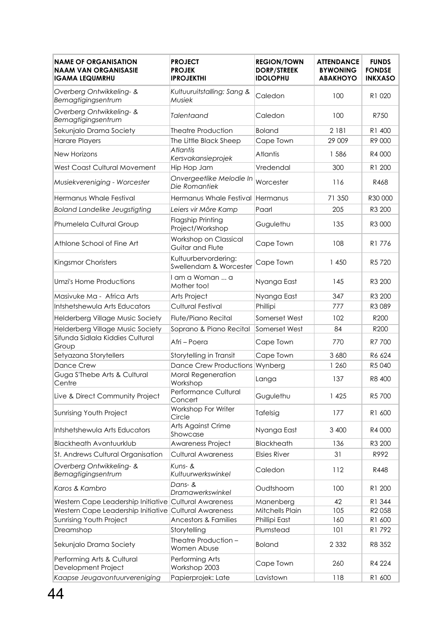| <b>NAME OF ORGANISATION</b><br><b>NAAM VAN ORGANISASIE</b><br><b>IGAMA LEQUMRHU</b> | <b>PROJECT</b><br><b>PROJEK</b><br><b>IPROJEKTHI</b> | <b>REGION/TOWN</b><br><b>DORP/STREEK</b><br><b>IDOLOPHU</b> | <b>ATTENDANCE</b><br><b>BYWONING</b><br><b>ABAKHOYO</b> | <b>FUNDS</b><br><b>FONDSE</b><br><b>INKXASO</b> |
|-------------------------------------------------------------------------------------|------------------------------------------------------|-------------------------------------------------------------|---------------------------------------------------------|-------------------------------------------------|
| Overberg Ontwikkeling- &<br>Bemagtigingsentrum                                      | Kultuuruitstalling: Sang &<br>Musiek                 | Caledon                                                     | 100                                                     | R1 020                                          |
| Overberg Ontwikkeling- &<br>Bemagtigingsentrum                                      | Talentaand                                           | Caledon                                                     | 100                                                     | R750                                            |
| Sekunjalo Drama Society                                                             | <b>Theatre Production</b>                            | <b>Boland</b>                                               | 2 181                                                   | R1 400                                          |
| <b>Harare Players</b>                                                               | The Little Black Sheep                               | Cape Town                                                   | 29 009                                                  | R9 000                                          |
| <b>New Horizons</b>                                                                 | <b>Atlantis</b><br>Kersvakansieprojek                | Atlantis                                                    | 1586                                                    | R4 000                                          |
| West Coast Cultural Movement                                                        | Hip Hop Jam                                          | Vredendal                                                   | 300                                                     | R1 200                                          |
| Musiekvereniging - Worcester                                                        | Onvergeetlike Melodie In<br>Die Romantiek            | Worcester                                                   | 116                                                     | R468                                            |
| Hermanus Whale Festival                                                             | Hermanus Whale Festival                              | Hermanus                                                    | 71 350                                                  | R30 000                                         |
| <b>Boland Landelike Jeugstigting</b>                                                | Leiers vir Môre Kamp                                 | Paarl                                                       | 205                                                     | R3 200                                          |
| Phumelela Cultural Group                                                            | <b>Flagship Printing</b><br>Project/Workshop         | Gugulethu                                                   | 135                                                     | R3 000                                          |
| Athlone School of Fine Art                                                          | Workshop on Classical<br>Guitar and Flute            | Cape Town                                                   | 108                                                     | R1776                                           |
| Kingsmor Choristers                                                                 | Kultuurbervordering:<br>Swellendam & Worcester       | Cape Town                                                   | 1 450                                                   | R5720                                           |
| Umzi's Home Productions                                                             | I am a Woman  a<br>Mother too!                       | Nyanga East                                                 | 145                                                     | R <sub>3</sub> 200                              |
| Masivuke Ma - Africa Arts                                                           | Arts Project                                         | Nyanga East                                                 | 347                                                     | R3 200                                          |
| Intshetshewula Arts Educators                                                       | <b>Cultural Festival</b>                             | Phillipi                                                    | 777                                                     | R3 089                                          |
| Helderberg Village Music Society                                                    | Flute/Piano Recital                                  | Somerset West                                               | 102                                                     | R200                                            |
| Helderberg Village Music Society                                                    | Soprano & Piano Recital                              | Somerset West                                               | 84                                                      | R200                                            |
| Sifunda Sidlala Kiddies Cultural<br>Group                                           | Afri – Poera                                         | Cape Town                                                   | 770                                                     | R7 700                                          |
| Setyazana Storytellers                                                              | Storytelling in Transit                              | Cape Town                                                   | 3 680                                                   | R6 624                                          |
| Dance Crew                                                                          | Dance Crew Productions Wynberg                       |                                                             | 1 2 6 0                                                 | R5040                                           |
| Guga S'Thebe Arts & Cultural<br>Centre                                              | Moral Regeneration<br>Workshop                       | Langa                                                       | 137                                                     | R8 400                                          |
| Live & Direct Community Project                                                     | Performance Cultural<br>Concert                      | Gugulethu                                                   | 1425                                                    | R5 700                                          |
| Sunrising Youth Project                                                             | Workshop For Writer<br>Circle                        | Tafelsig                                                    | 177                                                     | R1 600                                          |
| Intshetshewula Arts Educators                                                       | Arts Against Crime<br>Showcase                       | Nyanga East                                                 | 3 400                                                   | R4 000                                          |
| <b>Blackheath Avontuurklub</b>                                                      | Awareness Project                                    | <b>Blackheath</b>                                           | 136                                                     | R3 200                                          |
| St. Andrews Cultural Organisation                                                   | <b>Cultural Awareness</b>                            | <b>Elsies River</b>                                         | 31                                                      | R992                                            |
| Overberg Ontwikkeling- &<br>Bemagtigingsentrum                                      | $Kuns-8$<br>Kultuurwerkswinkel                       | Caledon                                                     | 112                                                     | R448                                            |
| Karos & Kambro                                                                      | Dans- &<br>Dramawerkswinkel                          | Oudtshoorn                                                  | 100                                                     | R1 200                                          |
| Western Cape Leadership Initiative Cultural Awareness                               |                                                      | Manenberg                                                   | 42                                                      | R1 344                                          |
| Western Cape Leadership Initiative Cultural Awareness                               |                                                      | Mitchells Plain                                             | 105                                                     | R2 058                                          |
| Sunrising Youth Project                                                             | <b>Ancestors &amp; Families</b>                      | Phillipi East                                               | 160                                                     | R1 600                                          |
| Dreamshop                                                                           | Storytelling                                         | Plumstead                                                   | 101                                                     | R1792                                           |
| Sekunjalo Drama Society                                                             | Theatre Production -<br>Women Abuse                  | <b>Boland</b>                                               | 2 3 3 2                                                 | R8 352                                          |
| Performing Arts & Cultural<br>Development Project                                   | Performing Arts<br>Workshop 2003                     | Cape Town                                                   | 260                                                     | R4 224                                          |
| Kaapse Jeugavontuurvereniging                                                       | Papierprojek: Late                                   | Lavistown                                                   | 118                                                     | R1 600                                          |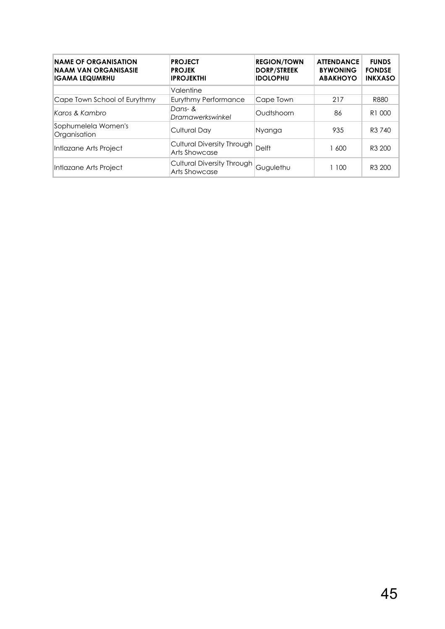| <b>NAME OF ORGANISATION</b><br>NAAM VAN ORGANISASIE<br>IGAMA LEQUMRHU | <b>PROJECT</b><br><b>PROJEK</b><br><b>IPROJEKTHI</b> | <b>REGION/TOWN</b><br><b>DORP/STREEK</b><br><b>IDOLOPHU</b> | <b>ATTENDANCE</b><br><b>BYWONING</b><br><b>ABAKHOYO</b> | <b>FUNDS</b><br><b>FONDSE</b><br><b>INKXASO</b> |
|-----------------------------------------------------------------------|------------------------------------------------------|-------------------------------------------------------------|---------------------------------------------------------|-------------------------------------------------|
|                                                                       | Valentine                                            |                                                             |                                                         |                                                 |
| Cape Town School of Eurythmy                                          | Eurythmy Performance                                 | Cape Town                                                   | 217                                                     | R880                                            |
| Karos & Kambro                                                        | Dans- &<br>Dramawerkswinkel                          | Oudtshoorn                                                  | 86                                                      | R <sub>1</sub> 000                              |
| Sophumelela Women's<br>Organisation                                   | <b>Cultural Day</b>                                  | Nyanga                                                      | 935                                                     | R3 740                                          |
| Intlazane Arts Project                                                | <b>Cultural Diversity Through</b><br>Arts Showcase   | <b>Delft</b>                                                | 1 600                                                   | R <sub>3</sub> 200                              |
| Intlazane Arts Project                                                | Cultural Diversity Through<br><b>Arts Showcase</b>   | Gugulethu                                                   | 1 100                                                   | R <sub>3</sub> 200                              |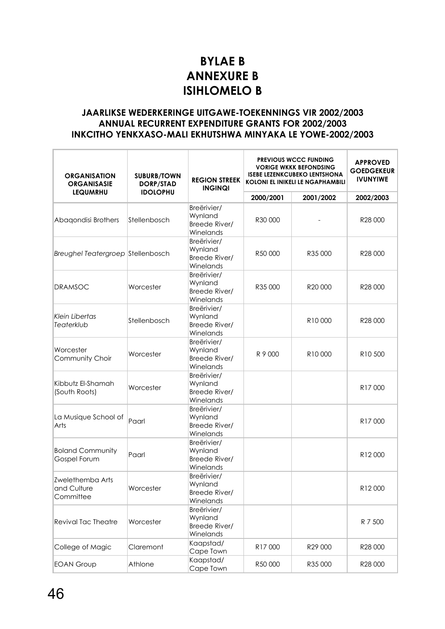## **BYLAE B ANNEXURE B ISIHLOMELO B**

## **JAARLIKSE WEDERKERINGE UITGAWE-TOEKENNINGS VIR 2002/2003 ANNUAL RECURRENT EXPENDITURE GRANTS FOR 2002/2003 INKCITHO YENKXASO-MALI EKHUTSHWA MINYAKA LE YOWE-2002/2003**

| <b>ORGANISATION</b><br><b>ORGANISASIE</b>    | <b>SUBURB/TOWN</b><br><b>REGION STREEK</b><br>DORP/STAD<br><b>INGINQI</b> |                                                      | <b>PREVIOUS WCCC FUNDING</b><br><b>VORIGE WKKK BEFONDSING</b><br><b>ISEBE LEZENKCUBEKO LENTSHONA</b><br><b>KOLONI EL INIKELI LE NGAPHAMBILI</b> |           | <b>APPROVED</b><br><b>GOEDGEKEUR</b><br><b>IVUNYIWE</b> |
|----------------------------------------------|---------------------------------------------------------------------------|------------------------------------------------------|-------------------------------------------------------------------------------------------------------------------------------------------------|-----------|---------------------------------------------------------|
| <b>LEQUMRHU</b>                              | <b>IDOLOPHU</b>                                                           |                                                      | 2000/2001                                                                                                                                       | 2001/2002 | 2002/2003                                               |
| Abaqondisi Brothers                          | Stellenbosch                                                              | Breërivier/<br>Wynland<br>Breede River/<br>Winelands | R30 000                                                                                                                                         |           | R28 000                                                 |
| Breughel Teatergroep Stellenbosch            |                                                                           | Breërivier/<br>Wynland<br>Breede River/<br>Winelands | R50 000                                                                                                                                         | R35 000   | R28 000                                                 |
| <b>DRAMSOC</b>                               | Worcester                                                                 | Breërivier/<br>Wynland<br>Breede River/<br>Winelands | R35 000                                                                                                                                         | R20 000   | R28 000                                                 |
| <b>Klein Libertas</b><br>Teaterklub          | Stellenbosch                                                              | Breërivier/<br>Wynland<br>Breede River/<br>Winelands |                                                                                                                                                 | R10000    | R28 000                                                 |
| Worcester<br>Community Choir                 | Worcester                                                                 | Breërivier/<br>Wynland<br>Breede River/<br>Winelands | R 9 000                                                                                                                                         | R10000    | R10 500                                                 |
| Kibbutz El-Shamah<br>(South Roots)           | Worcester                                                                 | Breërivier/<br>Wynland<br>Breede River/<br>Winelands |                                                                                                                                                 |           | R17000                                                  |
| La Musique School of<br>Arts                 | Paarl                                                                     | Breërivier/<br>Wynland<br>Breede River/<br>Winelands |                                                                                                                                                 |           | R17000                                                  |
| <b>Boland Community</b><br>Gospel Forum      | Paarl                                                                     | Breërivier/<br>Wynland<br>Breede River/<br>Winelands |                                                                                                                                                 |           | R12000                                                  |
| Zwelethemba Arts<br>and Culture<br>Committee | Worcester                                                                 | Breërivier/<br>Wynland<br>Breede River/<br>Winelands |                                                                                                                                                 |           | R12000                                                  |
| <b>Revival Tac Theatre</b>                   | Worcester                                                                 | Breërivier/<br>Wynland<br>Breede River/<br>Winelands |                                                                                                                                                 |           | R 7 500                                                 |
| College of Magic                             | Claremont                                                                 | Kaapstad/<br>Cape Town                               | R17000                                                                                                                                          | R29 000   | R28 000                                                 |
| <b>EOAN Group</b>                            | Athlone                                                                   | Kaapstad/<br>Cape Town                               | R50 000                                                                                                                                         | R35 000   | R28 000                                                 |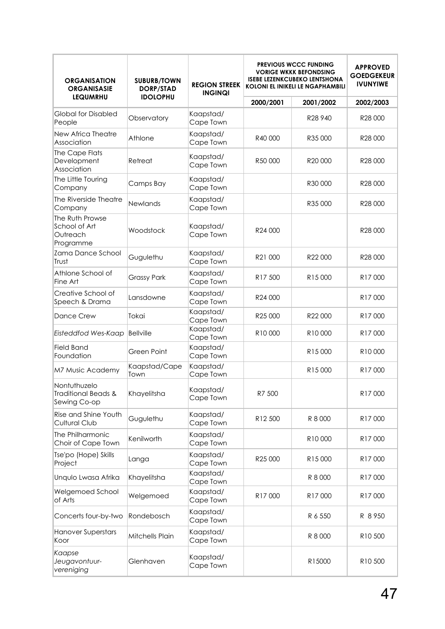| <b>ORGANISATION</b><br><b>ORGANISASIE</b>                 | <b>SUBURB/TOWN</b><br><b>DORP/STAD</b> | <b>REGION STREEK</b><br><b>INGINQI</b> | <b>PREVIOUS WCCC FUNDING</b><br><b>VORIGE WKKK BEFONDSING</b><br><b>ISEBE LEZENKCUBEKO LENTSHONA</b><br><b>KOLONI EL INIKELI LE NGAPHAMBILI</b> | <b>APPROVED</b><br><b>GOEDGEKEUR</b><br><b>IVUNYIWE</b> |                     |
|-----------------------------------------------------------|----------------------------------------|----------------------------------------|-------------------------------------------------------------------------------------------------------------------------------------------------|---------------------------------------------------------|---------------------|
| <b>LEQUMRHU</b>                                           | <b>IDOLOPHU</b>                        |                                        | 2000/2001                                                                                                                                       | 2001/2002                                               | 2002/2003           |
| <b>Global for Disabled</b><br>People                      | Observatory                            | Kaapstad/<br>Cape Town                 |                                                                                                                                                 | R28 940                                                 | R28 000             |
| New Africa Theatre<br>Association                         | Athlone                                | Kaapstad/<br>Cape Town                 | R40 000                                                                                                                                         | R35 000                                                 | R28 000             |
| The Cape Flats<br>Development<br>Association              | Retreat                                | Kaapstad/<br>Cape Town                 | R50 000                                                                                                                                         | R20 000                                                 | R28 000             |
| The Little Touring<br>Company                             | Camps Bay                              | Kaapstad/<br>Cape Town                 |                                                                                                                                                 | R30 000                                                 | R28 000             |
| The Riverside Theatre<br>Company                          | <b>Newlands</b>                        | Kaapstad/<br>Cape Town                 |                                                                                                                                                 | R35 000                                                 | R28 000             |
| The Ruth Prowse<br>School of Art<br>Outreach<br>Programme | Woodstock                              | Kaapstad/<br>Cape Town                 | R24 000                                                                                                                                         |                                                         | R28 000             |
| Zama Dance School<br>Trust                                | Gugulethu                              | Kaapstad/<br>Cape Town                 | R21 000                                                                                                                                         | R22000                                                  | R28 000             |
| Athlone School of<br>Fine Art                             | <b>Grassy Park</b>                     | Kaapstad/<br>Cape Town                 | R <sub>17</sub> 500                                                                                                                             | R <sub>15</sub> 000                                     | R17000              |
| Creative School of<br>Speech & Drama                      | Lansdowne                              | Kaapstad/<br>Cape Town                 | R24 000                                                                                                                                         |                                                         | R17000              |
| <b>Dance Crew</b>                                         | Tokai                                  | Kaapstad/<br>Cape Town                 | R25 000                                                                                                                                         | R22 000                                                 | R17000              |
| Eisteddfod Wes-Kaap                                       | <b>Bellville</b>                       | Kaapstad/<br>Cape Town                 | R10000                                                                                                                                          | R10000                                                  | R17000              |
| <b>Field Band</b><br>Foundation                           | Green Point                            | Kaapstad/<br>Cape Town                 |                                                                                                                                                 | R15000                                                  | R10000              |
| M7 Music Academy                                          | Kaapstad/Cape<br>Town                  | Kaapstad/<br>Cape Town                 |                                                                                                                                                 | R15000                                                  | R <sub>17</sub> 000 |
| Nontuthuzelo<br>Traditional Beads &<br>Sewing Co-op       | Khayelitsha                            | Kaapstad/<br>Cape Town                 | R7 500                                                                                                                                          |                                                         | R17000              |
| Rise and Shine Youth<br>Cultural Club                     | Gugulethu                              | Kaapstad/<br>Cape Town                 | R12 500                                                                                                                                         | R 8 000                                                 | R17000              |
| The Philharmonic<br>Choir of Cape Town                    | Kenilworth                             | Kaapstad/<br>Cape Town                 |                                                                                                                                                 | R10000                                                  | R17000              |
| Tse'po (Hope) Skills<br>Project                           | Langa                                  | Kaapstad/<br>Cape Town                 | R25 000                                                                                                                                         | R15000                                                  | R17000              |
| Unqulo Lwasa Afrika                                       | Khayelitsha                            | Kaapstad/<br>Cape Town                 |                                                                                                                                                 | R 8 000                                                 | R17000              |
| Welgemoed School<br>of Arts                               | Welgemoed                              | Kaapstad/<br>Cape Town                 | R17000                                                                                                                                          | R17000                                                  | R17000              |
| Concerts four-by-two                                      | Rondebosch                             | Kaapstad/<br>Cape Town                 |                                                                                                                                                 | R 6 550                                                 | R 8950              |
| Hanover Superstars<br>Koor                                | Mitchells Plain                        | Kaapstad/<br>Cape Town                 |                                                                                                                                                 | R 8 000                                                 | R10 500             |
| Kaapse<br>Jeugavontuur-<br>vereniging                     | Glenhaven                              | Kaapstad/<br>Cape Town                 |                                                                                                                                                 | R15000                                                  | R <sub>10</sub> 500 |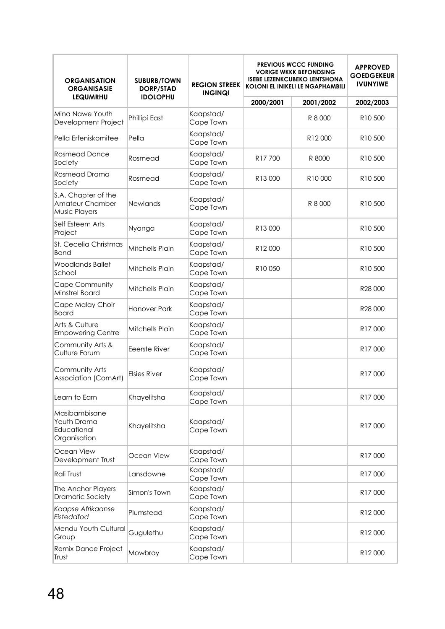| <b>ORGANISATION</b><br><b>ORGANISASIE</b>                      | <b>SUBURB/TOWN</b><br>DORP/STAD | <b>REGION STREEK</b>   | <b>PREVIOUS WCCC FUNDING</b><br><b>VORIGE WKKK BEFONDSING</b><br><b>ISEBE LEZENKCUBEKO LENTSHONA</b><br><b>KOLONI EL INIKELI LE NGAPHAMBILI</b><br><b>INGINQI</b> |                     | <b>APPROVED</b><br><b>GOEDGEKEUR</b><br><b>IVUNYIWE</b> |
|----------------------------------------------------------------|---------------------------------|------------------------|-------------------------------------------------------------------------------------------------------------------------------------------------------------------|---------------------|---------------------------------------------------------|
| <b>LEQUMRHU</b>                                                | <b>IDOLOPHU</b>                 |                        | 2000/2001                                                                                                                                                         | 2001/2002           | 2002/2003                                               |
| Mina Nawe Youth<br>Development Project                         | Phillipi East                   | Kaapstad/<br>Cape Town |                                                                                                                                                                   | R 8 000             | R10 500                                                 |
| Pella Erfeniskomitee                                           | Pella                           | Kaapstad/<br>Cape Town |                                                                                                                                                                   | R12000              | R10 500                                                 |
| <b>Rosmead Dance</b><br>Society                                | Rosmead                         | Kaapstad/<br>Cape Town | R17700                                                                                                                                                            | R 8000              | R <sub>10</sub> 500                                     |
| Rosmead Drama<br>Society                                       | Rosmead                         | Kaapstad/<br>Cape Town | R13000                                                                                                                                                            | R <sub>10</sub> 000 | R <sub>10</sub> 500                                     |
| S.A. Chapter of the<br>Amateur Chamber<br><b>Music Players</b> | <b>Newlands</b>                 | Kaapstad/<br>Cape Town |                                                                                                                                                                   | R 8 000             | R <sub>10</sub> 500                                     |
| Self Esteem Arts<br>Project                                    | Nyanga                          | Kaapstad/<br>Cape Town | R13000                                                                                                                                                            |                     | R <sub>10</sub> 500                                     |
| St. Cecelia Christmas<br>Band                                  | Mitchells Plain                 | Kaapstad/<br>Cape Town | R12000                                                                                                                                                            |                     | R <sub>10</sub> 500                                     |
| Woodlands Ballet<br>School                                     | Mitchells Plain                 | Kaapstad/<br>Cape Town | R10050                                                                                                                                                            |                     | R <sub>10</sub> 500                                     |
| Cape Community<br>Minstrel Board                               | Mitchells Plain                 | Kaapstad/<br>Cape Town |                                                                                                                                                                   |                     | R28 000                                                 |
| Cape Malay Choir<br>Board                                      | <b>Hanover Park</b>             | Kaapstad/<br>Cape Town |                                                                                                                                                                   |                     | R28 000                                                 |
| Arts & Culture<br><b>Empowering Centre</b>                     | Mitchells Plain                 | Kaapstad/<br>Cape Town |                                                                                                                                                                   |                     | R17000                                                  |
| Community Arts &<br>Culture Forum                              | Eeerste River                   | Kaapstad/<br>Cape Town |                                                                                                                                                                   |                     | R <sub>17</sub> 000                                     |
| Community Arts<br>Association (ComArt)                         | <b>Elsies River</b>             | Kaapstad/<br>Cape Town |                                                                                                                                                                   |                     | R <sub>17</sub> 000                                     |
| Learn to Earn                                                  | Khayelitsha                     | Kaapstad/<br>Cape Town |                                                                                                                                                                   |                     | R17000                                                  |
| Masibambisane<br>Youth Drama<br>Educational<br>Organisation    | Khayelitsha                     | Kaapstad/<br>Cape Town |                                                                                                                                                                   |                     | R17000                                                  |
| Ocean View<br>Development Trust                                | Ocean View                      | Kaapstad/<br>Cape Town |                                                                                                                                                                   |                     | R17000                                                  |
| Rali Trust                                                     | Lansdowne                       | Kaapstad/<br>Cape Town |                                                                                                                                                                   |                     | R17000                                                  |
| The Anchor Players<br>Dramatic Society                         | Simon's Town                    | Kaapstad/<br>Cape Town |                                                                                                                                                                   |                     | R17000                                                  |
| Kaapse Afrikaanse<br>Eisteddfod                                | Plumstead                       | Kaapstad/<br>Cape Town |                                                                                                                                                                   |                     | R12000                                                  |
| Mendu Youth Cultural<br>Group                                  | Gugulethu                       | Kaapstad/<br>Cape Town |                                                                                                                                                                   |                     | R12000                                                  |
| Remix Dance Project<br>Trust                                   | Mowbray                         | Kaapstad/<br>Cape Town |                                                                                                                                                                   |                     | R12000                                                  |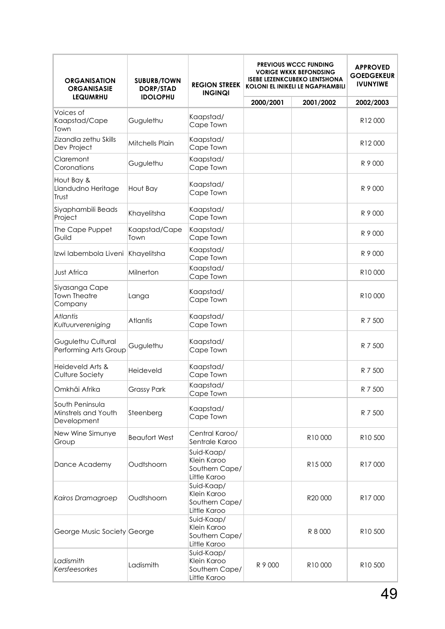| <b>ORGANISATION</b><br><b>ORGANISASIE</b>             | <b>SUBURB/TOWN</b><br><b>REGION STREEK</b><br>DORP/STAD<br><b>INGINQI</b> |                                                             |           | <b>PREVIOUS WCCC FUNDING</b><br><b>VORIGE WKKK BEFONDSING</b><br><b>ISEBE LEZENKCUBEKO LENTSHONA</b><br><b>KOLONI EL INIKELI LE NGAPHAMBILI</b> | <b>APPROVED</b><br><b>GOEDGEKEUR</b><br><b>IVUNYIWE</b> |  |
|-------------------------------------------------------|---------------------------------------------------------------------------|-------------------------------------------------------------|-----------|-------------------------------------------------------------------------------------------------------------------------------------------------|---------------------------------------------------------|--|
| <b>LEQUMRHU</b>                                       | <b>IDOLOPHU</b>                                                           |                                                             | 2000/2001 | 2001/2002                                                                                                                                       | 2002/2003                                               |  |
| Voices of<br>Kaapstad/Cape<br>Town                    | Gugulethu                                                                 | Kaapstad/<br>Cape Town                                      |           |                                                                                                                                                 | R12000                                                  |  |
| Zizandla zethu Skills<br>Dev Project                  | Mitchells Plain                                                           | Kaapstad/<br>Cape Town                                      |           |                                                                                                                                                 | R12000                                                  |  |
| Claremont<br>Coronations                              | Gugulethu                                                                 | Kaapstad/<br>Cape Town                                      |           |                                                                                                                                                 | R 9 000                                                 |  |
| Hout Bay &<br>Llandudno Heritage<br>Trust             | Hout Bay                                                                  | Kaapstad/<br>Cape Town                                      |           |                                                                                                                                                 | R 9 000                                                 |  |
| Siyaphambili Beads<br>Project                         | Khayelitsha                                                               | Kaapstad/<br>Cape Town                                      |           |                                                                                                                                                 | R 9 000                                                 |  |
| The Cape Puppet<br>Guild                              | Kaapstad/Cape<br>Town                                                     | Kaapstad/<br>Cape Town                                      |           |                                                                                                                                                 | R 9 000                                                 |  |
| Izwi labembola Liveni                                 | Khayelitsha                                                               | Kaapstad/<br>Cape Town                                      |           |                                                                                                                                                 | R 9 000                                                 |  |
| <b>Just Africa</b>                                    | Milnerton                                                                 | Kaapstad/<br>Cape Town                                      |           |                                                                                                                                                 | R10000                                                  |  |
| Siyasanga Cape<br><b>Town Theatre</b><br>Company      | Langa                                                                     | Kaapstad/<br>Cape Town                                      |           |                                                                                                                                                 | R10000                                                  |  |
| <b>Atlantis</b><br>Kultuurvereniging                  | <b>Atlantis</b>                                                           | Kaapstad/<br>Cape Town                                      |           |                                                                                                                                                 | R 7 500                                                 |  |
| Gugulethu Cultural<br>Performing Arts Group           | Gugulethu                                                                 | Kaapstad/<br>Cape Town                                      |           |                                                                                                                                                 | R 7 500                                                 |  |
| Heideveld Arts &<br>Culture Society                   | Heideveld                                                                 | Kaapstad/<br>Cape Town                                      |           |                                                                                                                                                 | R 7 500                                                 |  |
| Omkhâi Afrika                                         | <b>Grassy Park</b>                                                        | Kaapstad/<br>Cape Town                                      |           |                                                                                                                                                 | R 7 500                                                 |  |
| South Peninsula<br>Minstrels and Youth<br>Development | Steenberg                                                                 | Kaapstad/<br>Cape Town                                      |           |                                                                                                                                                 | R 7 500                                                 |  |
| New Wine Simunye<br>Group                             | <b>Beaufort West</b>                                                      | Central Karoo/<br>Sentrale Karoo                            |           | R10000                                                                                                                                          | R <sub>10</sub> 500                                     |  |
| Dance Academy                                         | Oudtshoorn                                                                | Suid-Kaap/<br>Klein Karoo<br>Southern Cape/<br>Little Karoo |           | R15000                                                                                                                                          | R17000                                                  |  |
| Kairos Dramagroep                                     | Oudtshoorn                                                                | Suid-Kaap/<br>Klein Karoo<br>Southern Cape/<br>Little Karoo |           | R20 000                                                                                                                                         | R17000                                                  |  |
| George Music Society George                           |                                                                           | Suid-Kaap/<br>Klein Karoo<br>Southern Cape/<br>Little Karoo |           | R 8 000                                                                                                                                         | R <sub>10</sub> 500                                     |  |
| Ladismith<br>Kersfeesorkes                            | Ladismith                                                                 | Suid-Kaap/<br>Klein Karoo<br>Southern Cape/<br>Little Karoo | R 9 000   | R10000                                                                                                                                          | R10 500                                                 |  |